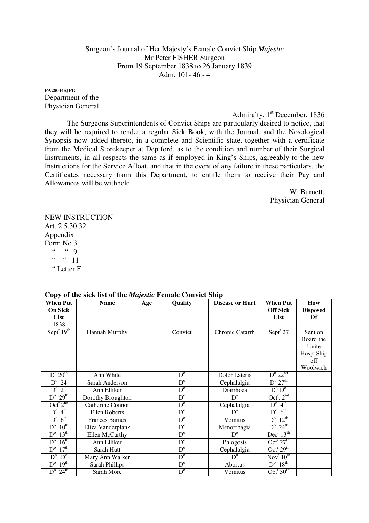Surgeon's Journal of Her Majesty's Female Convict Ship *Majestic*  Mr Peter FISHER Surgeon From 19 September 1838 to 26 January 1839 Adm. 101- 46 - 4

**PA280445JPG**  Department of the Physician General

Admiralty,  $1<sup>st</sup>$  December, 1836 The Surgeons Superintendents of Convict Ships are particularly desired to notice, that they will be required to render a regular Sick Book, with the Journal, and the Nosological Synopsis now added thereto, in a complete and Scientific state, together with a certificate from the Medical Storekeeper at Deptford, as to the condition and number of their Surgical Instruments, in all respects the same as if employed in King's Ships, agreeably to the new Instructions for the Service Afloat, and that in the event of any failure in these particulars, the Certificates necessary from this Department, to entitle them to receive their Pay and Allowances will be withheld.

> W. Burnett, Physician General

NEW INSTRUCTION Art. 2,5,30,32 Appendix Form No 3  $\begin{array}{ccc} \overline{a} & a & g \end{array}$  $\frac{a}{2}$   $\frac{a}{11}$ " Letter F

| <b>When Put</b>                                          | <b>Name</b><br>Age    |  | Quality                 | <b>Disease or Hurt</b> | <b>When Put</b>                        | How             |
|----------------------------------------------------------|-----------------------|--|-------------------------|------------------------|----------------------------------------|-----------------|
| <b>On Sick</b>                                           |                       |  |                         |                        | <b>Off Sick</b>                        | <b>Disposed</b> |
| List                                                     |                       |  |                         |                        | List                                   | Of              |
| 1838                                                     |                       |  |                         |                        |                                        |                 |
| Sept $r$ 19 <sup>th</sup>                                | Hannah Murphy         |  | Convict                 | Chronic Catarrh        | Sept <sup>r</sup> 27                   | Sent on         |
|                                                          |                       |  |                         |                        |                                        | Board the       |
|                                                          |                       |  |                         |                        |                                        | Unite           |
|                                                          |                       |  |                         |                        |                                        | $Hosp1$ Ship    |
|                                                          |                       |  |                         |                        |                                        | off             |
|                                                          |                       |  |                         |                        |                                        | Woolwich        |
| $D^{\circ} 20^{\text{th}}$                               | Ann White             |  | $D^{\circ}$             | <b>Dolor Lateris</b>   | $D^{\rm o} 22^{\rm nd}$                |                 |
| $D^{\circ}$ 24                                           | Sarah Anderson        |  | $D^{\circ}$             | Cephalalgia            | $D^{\circ} 27^{\text{th}}$             |                 |
| $D^{\circ}$ 21                                           | Ann Elliker           |  | $D^{\circ}$             | Diarrhoea              | $D^{\mathrm{o}}$ $D^{\mathrm{o}}$      |                 |
| $D^{\circ}$ 29 <sup>th</sup>                             | Dorothy Broughton     |  | $D^{\circ}$             | $D^{\circ}$            | Oct <sup>r</sup> . $2^{nd}$            |                 |
| $\overline{\mathrm{Oct}}^{\mathrm{r}}$ $2^{\mathrm{nd}}$ | Catherine Connor      |  | $D^{\circ}$             | Cephalalgia            | $D^{\circ}$ 4 <sup>th</sup>            |                 |
| $D^{\circ}$ 4 <sup>th</sup>                              | Ellen Roberts         |  | $D^{\circ}$             | $D^{\circ}$            | $D^{\circ}$ 6 <sup>th</sup>            |                 |
| $D^{\circ}$ 6 <sup>th</sup>                              | <b>Frances Barnes</b> |  | $D^{\mathrm{o}}$        | Vomitus                | $D^{\circ}$ 12 <sup>th</sup>           |                 |
| $D^{\circ}$ 10 <sup>th</sup>                             | Eliza Vanderplank     |  | $\overline{D}^{\circ}$  | Menorrhagia            | $D^{\circ}$ 24 <sup>th</sup>           |                 |
| $D^{\circ}$ 13 <sup>th</sup>                             | Ellen McCarthy        |  | $\overline{D}^{\circ}$  | $D^{\circ}$            | Dec <sup>r</sup> 13 <sup>th</sup>      |                 |
| $D^{\circ}$ 16 <sup>th</sup>                             | Ann Elliker           |  | $D^{\circ}$             | Phlogosis              | Oct <sup>r</sup> $27th$                |                 |
| $D^{\circ}$ 17 <sup>th</sup>                             | Sarah Hutt            |  | $D^{\circ}$             | Cephalalgia            | Oct <sup>r</sup> 29 <sup>th</sup>      |                 |
| $\overline{D}^{\circ}$ $D^{\circ}$                       | Mary Ann Walker       |  | $D^{\mathrm{o}}$        | $D^{\circ}$            | $\text{Nov}^{\text{r}} 10^{\text{th}}$ |                 |
| $D^{\circ}$ 19 <sup>th</sup>                             | <b>Sarah Phillips</b> |  | $D^{\circ}$             | Abortus                | $D^{\circ}$ 18 <sup>th</sup>           |                 |
| $D^{\circ}$ 24 <sup>th</sup>                             | Sarah More            |  | $\mathbf{D}^{\text{o}}$ | Vomitus                | Oct <sup>r</sup> 30 <sup>th</sup>      |                 |

## **Copy of the sick list of the** *Majestic* **Female Convict Ship**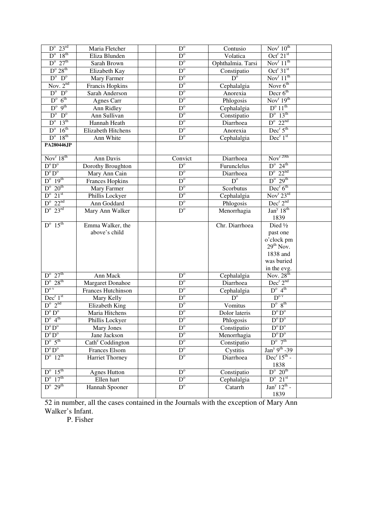| $D^{\circ}$ 23 <sup>rd</sup>     | Maria Fletcher               | $\overline{D^o}$        | Contusio               | Nov <sup>r</sup> 10 <sup>th</sup>         |  |
|----------------------------------|------------------------------|-------------------------|------------------------|-------------------------------------------|--|
| $D^{\circ}$ 18 <sup>th</sup>     | Eliza Blunden                | $D^{\circ}$             | Volatica               | Oct <sup>r</sup> $21st$                   |  |
| $D^{\circ}$ 27 <sup>th</sup>     | Sarah Brown                  | $D^{\circ}$             | Ophthalmia. Tarsi      | Nov <sup>r</sup> $11^{th}$                |  |
| $D^{\rm o} 28^{\rm th}$          | Elizabeth Kay                | $D^{\circ}$             | Constipatio            | Oct <sup>r</sup> $31st$                   |  |
| $D^{\circ}$ $D^{\circ}$          | Mary Farmer                  | $D^{\circ}$             | $\overline{D}^{\circ}$ | Nov <sup>r</sup> $11^{th}$                |  |
| Nov. $2nd$                       | Francis Hopkins              | $D^{\circ}$             | Cephalalgia            | Novr $6^{th}$                             |  |
| $D^{\circ}$ $D^{\circ}$          | Sarah Anderson               | $D^{\circ}$             | Anorexia               | Decr $6th$                                |  |
| $D^{\circ}$ 6 <sup>th</sup>      | Agnes Carr                   | $D^{\circ}$             | Phlogosis              | Nov <sup>r</sup> $19th$                   |  |
| $D^{\circ} 9^{th}$               | Ann Ridley                   | $D^{\circ}$             | Cephalalgia            | $D^{\circ} 11^{\text{th}}$                |  |
| $D^{\circ}$ $D^{\circ}$          | Ann Sullivan                 | $D^{\circ}$             | Constipatio            | $D^{\circ}$ 13 <sup>th</sup>              |  |
| $D^{\circ}$ 13 <sup>th</sup>     | Hannah Heath                 | $D^{\circ}$             | Diarrhoea              | $D^{\rm o}$ 22 <sup>nd</sup>              |  |
| $D^{\circ}$ 16 <sup>th</sup>     | Elizabeth Hitchens           | $D^{\circ}$             | Anorexia               | Dec <sup>r</sup> 5 <sup>th</sup>          |  |
| $D^{\circ}$ 18 <sup>th</sup>     | Ann White                    | $D^{\circ}$             | Cephalalgia            | Dec <sup>r</sup> 1 <sup>st</sup>          |  |
| <b>PA280446JP</b>                |                              |                         |                        |                                           |  |
| Nov $r$ 18 <sup>th</sup>         | Ann Davis                    | Convict                 | Diarrhoea              | $\text{Nov}^{\text{r} \, \text{20th}}$    |  |
| $D^o D^o$                        | Dorothy Broughton            | $\overline{D}^{\circ}$  | Furunclelus            | $D^{\circ}$ 24 <sup>th</sup>              |  |
| $D^{\mathrm{o}} D^{\mathrm{o}}$  | Mary Ann Cain                | $\mathbf{D}^{\text{o}}$ | Diarrhoea              | $D^{\rm o}$ 22 <sup>nd</sup>              |  |
| $D^{\circ}$ 19 <sup>th</sup>     | <b>Frances Hopkins</b>       | $\overline{D^o}$        | $D^{\circ}$            | $D^{\circ}$ 29 <sup>th</sup>              |  |
| $D^{\circ}$ 20 <sup>th</sup>     | Mary Farmer                  | $D^{\circ}$             | Scorbutus              | Dec <sup>r</sup> 6 <sup>th</sup>          |  |
| $D^{\circ}$ 21 <sup>st</sup>     | Phillis Lockyer              | D <sup>o</sup>          | Cephalalgia            | Nov <sup>r</sup> 23 <sup>rd</sup>         |  |
| $D^{\rm o}$ 22 <sup>nd</sup>     | Ann Goddard                  | $\mathbf{D}^{\text{o}}$ | Phlogosis              | $Dec^{r} 2^{nd}$                          |  |
| $D^{\circ}$ 23 <sup>rd</sup>     | Mary Ann Walker              | $\overline{D}^{\circ}$  | Menorrhagia            | Jan <sup>y</sup> 18 <sup>th</sup><br>1839 |  |
| $D^{\circ}$ 15 <sup>th</sup>     | Emma Walker, the             |                         | Chr. Diarrhoea         | Died 1/2                                  |  |
|                                  | above's child                |                         |                        | past one                                  |  |
|                                  |                              |                         |                        | o'clock pm                                |  |
|                                  |                              |                         |                        | $29th$ Nov.                               |  |
|                                  |                              |                         |                        | 1838 and                                  |  |
|                                  |                              |                         |                        | was buried                                |  |
|                                  |                              |                         |                        | in the evg.                               |  |
| $D^{\circ}$ 27 <sup>th</sup>     | Ann Mack                     | $\mathbf{D}^{\text{o}}$ | Cephalalgia            | Nov. $28th$                               |  |
| $D^{\circ} 28^{th}$              | Margaret Donahoe             | $\overline{D}^{\circ}$  | Diarrhoea              | $Dec^{r}2^{nd}$                           |  |
| $D^{o v}$                        | Frances Hutchinson           | $\overline{D}^{\circ}$  | Cephalalgia            | $D^{\circ}$ 4 <sup>th</sup>               |  |
| Dec <sup>r</sup> 1 <sup>st</sup> | Mary Kelly                   | $\overline{D^o}$        | $\overline{D^o}$       | $D^{o v}$                                 |  |
| $D^{\circ}$ $2^{\text{nd}}$      | Elizabeth King               | $\overline{D^o}$        | Vomitus                | $D^o$ $8^{th}$                            |  |
| $D^o D^o$                        | Maria Hitchens               | $\mathbf{D}^{\text{o}}$ | Dolor lateris          | $D^{\circ}D^{\circ}$                      |  |
| $D^{\circ}$ 4 <sup>th</sup>      | Phillis Lockyer              | $D^{\circ}$             | Phlogosis              | $D^o D^o$                                 |  |
| $D^{\mathrm{o}}\,D^{\mathrm{o}}$ | Mary Jones                   | $\overline{D}^{\circ}$  | Constipatio            | $D^{\circ}D^{\circ}$                      |  |
| $\overline{D^{\circ}D^{\circ}}$  | Jane Jackson                 | $D^{\circ}$             | Menorrhagia            | $\overline{D^{\circ}D^{\circ}}$           |  |
| $D^{\circ} 5^{\text{th}}$        | Cath <sup>e</sup> Coddington | $D^{\circ}$             | Constipatio            | $D^{\circ}$ 7 <sup>th</sup>               |  |
| $D^{\mathrm{o}} D^{\mathrm{o}}$  | Frances Elsom                | $\overline{D^o}$        | Cystitis               | $Jany 9th -39$                            |  |
| $D^{\circ}$ 12 <sup>th</sup>     | Harriet Thorney              | $D^{\circ}$             | Diarrhoea              | $Decr15th$ -                              |  |
|                                  |                              |                         |                        | 1838                                      |  |
| $D^{\circ}$ 15 <sup>th</sup>     | <b>Agnes Hutton</b>          | $D^{\circ}$             | Constipatio            | $D^{\circ}$ 20 <sup>th</sup>              |  |
| $D^{\circ}$ 17 <sup>th</sup>     | Ellen hart                   | $D^{\circ}$             | Cephalalgia            | $D^{\circ}$ 21 <sup>st</sup>              |  |
| $D^{\circ} 29^{\text{th}}$       | Hannah Spooner               | $D^{\circ}$             | Catarrh                | $Jany 12th$ -                             |  |
|                                  |                              |                         |                        | 1839                                      |  |

52 in number, all the cases contained in the Journals with the exception of Mary Ann Walker's Infant.

P. Fisher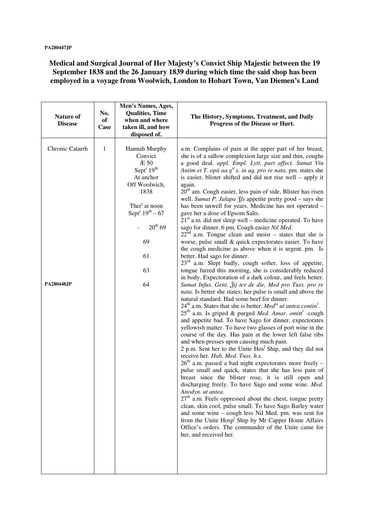**Medical and Surgical Journal of Her Majesty's Convict Ship Majestic between the 19 September 1838 and the 26 January 1839 during which time the said shop has been employed in a voyage from Woolwich, London to Hobart Town, Van Diemen's Land** 

| <b>Nature of</b><br><b>Disease</b>   | No.<br>of<br>Case | Men's Names, Ages,<br><b>Qualities, Time</b><br>when and where<br>taken ill, and how<br>disposed of.                                                                                                        | The History, Symptoms, Treatment, and Daily<br>Progress of the Disease or Hurt.                                                                                                                                                                                                                                                                                                                                                                                                                                                                                                                                                                                                                                                                                                                                                                                                                                                                                                                                                                                                                                                                                                                                                     |
|--------------------------------------|-------------------|-------------------------------------------------------------------------------------------------------------------------------------------------------------------------------------------------------------|-------------------------------------------------------------------------------------------------------------------------------------------------------------------------------------------------------------------------------------------------------------------------------------------------------------------------------------------------------------------------------------------------------------------------------------------------------------------------------------------------------------------------------------------------------------------------------------------------------------------------------------------------------------------------------------------------------------------------------------------------------------------------------------------------------------------------------------------------------------------------------------------------------------------------------------------------------------------------------------------------------------------------------------------------------------------------------------------------------------------------------------------------------------------------------------------------------------------------------------|
| Chronic Catarrh<br><b>PA280448JP</b> | 1                 | Hannah Murphy<br>Convict<br>Æ 50<br>Sept <sup>r</sup> $19th$<br>At anchor<br>Off Woolwich,<br>1838<br>Ther <sup>r</sup> at noon<br>Sept <sup>r</sup> $19^{th} - 67$<br>$20^{th}$ 69<br>69<br>61<br>63<br>64 | a.m. Complains of pain at the upper part of her breast,<br>she is of a sallow complexion large size and thin, coughs<br>a good deal. appl. Empl. Lytt. part affect. Sumat Vin<br>Antim et T. opii aa $g^t x$ . in aq. pro re nata. pm. states she<br>is easier, blister shifted and did not rise well - apply it<br>again.<br>$20th$ am. Cough easier, less pain of side, Blister has risen<br>well. Sumat P. Jalapa 3fs appetite pretty good - says she<br>has been unwell for years. Medicine has not operated -<br>gave her a dose of Epsom Salts.<br>$21st$ a.m. did not sleep well – medicine operated. To have<br>sago for dinner. 6 pm. Cough easier Nil Med.<br>$22nd$ a.m. Tongue clean and moist – states that she is<br>worse, pulse small & quick expectorates easier. To have<br>the cough medicine as above when it is urgent. pm. Is<br>better. Had sago for dinner.<br>23 <sup>rd</sup> a.m. Slept badly, cough softer, loss of appetite,<br>tongue furred this morning, she is considerably reduced<br>in body. Expectoration of a dark colour, and feels better.<br>Sumat Infus. Gent. Žij ter de die, Med pro Tuss. pro re                                                                                       |
|                                      |                   |                                                                                                                                                                                                             | nata. Is better she states; her pulse is small and above the<br>natural standard. Had some beef for dinner.<br>$24th$ a.m. States that she is better. <i>Med<sup>ia</sup> ut antea contin</i> <sup>"</sup> .<br>$25th$ a.m. Is griped & purged Med. Amar. omitt <sup>r</sup> -cough<br>and appetite bad. To have Sago for dinner, expectorates<br>yellowish matter. To have two glasses of port wine in the<br>course of the day. Has pain at the lower left false ribs<br>and when presses upon causing much pain.<br>2 p.m. Sent her to the Unite $Hos1$ Ship, and they did not<br>receive her. Hab. Med. Tuss. h.s.<br>$26th$ a.m. passed a bad night expectorates more freely –<br>pulse small and quick, states that she has less pain of<br>breast since the blister rose, it is still open and<br>discharging freely. To have Sago and some wine. Med.<br>Anodyn. ut antea.<br>27 <sup>th</sup> a.m. Feels oppressed about the chest, tongue pretty<br>clean, skin cool, pulse small. To have Sago Barley water<br>and some wine - cough less Nil Med. pm. was sent for<br>from the Unite Hosp <sup>1</sup> Ship by Mr Capper Home Affairs<br>Office's orders. The commander of the Unite came for<br>her, and received her. |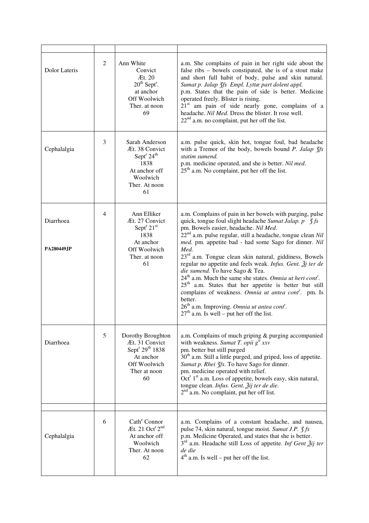| Dolor Lateris                  | 2              | Ann White<br>Convict<br>Æt. 20<br>$20th$ Sept <sup>r</sup> .<br>at anchor<br>Off Woolwich<br>Ther. at noon<br>69                  | a.m. She complains of pain in her right side about the<br>false ribs - bowels constipated, she is of a stout make<br>and short full habit of body, pulse and skin natural.<br>Sumat p. Jalap 3fs Empl. Lyttæ part dolent appl.<br>p.m. States that the pain of side is better. Medicine<br>operated freely. Blister is rising.<br>$21st$ am pain of side nearly gone, complains of a<br>headache. Nil Med. Dress the blister. It rose well.<br>$22nd$ a.m. no complaint, put her off the list.                                                                                                                                                                                                                                                                                                                                                  |
|--------------------------------|----------------|-----------------------------------------------------------------------------------------------------------------------------------|-------------------------------------------------------------------------------------------------------------------------------------------------------------------------------------------------------------------------------------------------------------------------------------------------------------------------------------------------------------------------------------------------------------------------------------------------------------------------------------------------------------------------------------------------------------------------------------------------------------------------------------------------------------------------------------------------------------------------------------------------------------------------------------------------------------------------------------------------|
| Cephalalgia                    | 3              | Sarah Anderson<br>Æt. 38 Convict<br>Sept <sup>r</sup> $24th$<br>1838<br>At anchor off<br>Woolwich<br>Ther. At noon<br>61          | a.m. pulse quick, skin hot, tongue foul, bad headache<br>with a Tremor of the body, bowels bound P. Jalap 3fs<br>statim sumend.<br>p.m. medicine operated, and she is better. Nil med.<br>$25th$ a.m. No complaint, put her off the list.                                                                                                                                                                                                                                                                                                                                                                                                                                                                                                                                                                                                       |
| Diarrhoea<br><b>PA280449JP</b> | $\overline{4}$ | Ann Elliker<br>Æt. 27 Convict<br>Sept $^r 21$ <sup>st</sup><br>1838<br>At anchor<br>Off Woolwich<br>Ther. at noon<br>61           | a.m. Complains of pain in her bowels with purging, pulse<br>quick, tongue foul slight headache Sumat Jalap. $p \text{ } 3fs$<br>pm. Bowels easier, headache. Nil Med.<br>$22nd$ a.m. pulse regular, still a headache, tongue clean Nil<br>med. pm. appetite bad - had some Sago for dinner. Nil<br>Med.<br>23 <sup>rd</sup> a.m. Tongue clean skin natural, giddiness, Bowels<br>regular no appetite and feels weak. Infus. Gent. $\tilde{\mathcal{Z}}$ j ter de<br>die sumend. To have Sago & Tea.<br>24 <sup>th</sup> a.m. Much the same she states. Omnia ut heri cont <sup>r</sup> .<br>$25th$ a.m. States that her appetite is better but still<br>complains of weakness. Omnia ut antea cont <sup>r</sup> . pm. Is<br>better.<br>$26th$ a.m. Improving. Omnia ut antea cont <sup>r</sup> .<br>$27th$ a.m. Is well – put her off the list. |
| Diarrhoea                      | 5              | Dorothy Broughton<br>Æt. 31 Convict<br>Sept <sup>r</sup> 29 <sup>th</sup> 1838<br>At anchor<br>Off Woolwich<br>Ther at noon<br>60 | a.m. Complains of much griping & purging accompanied<br>with weakness. Sumat T. opii $g^{tt}$ xxv<br>pm. better but still purged<br>30 <sup>th</sup> a.m. Still a little purged, and griped, loss of appetite.<br>Sumat p. Rhei 3fs. To have Sago for dinner.<br>pm. medicine operated with relief.<br>Oct <sup>r</sup> 1 <sup>st</sup> a.m. Loss of appetite, bowels easy, skin natural,<br>tongue clean. Infus. Gent. Žij ter de die.<br>$2nd$ a.m. No complaint, put her off list.                                                                                                                                                                                                                                                                                                                                                           |
| Cephalalgia                    | 6              | Cath <sup>e</sup> Connor<br>Æt. 21 Oct <sup>r 2nd</sup><br>At anchor off<br>Woolwich<br>Ther. At noon<br>62                       | a.m. Complains of a constant headache, and nausea,<br>pulse 74, skin natural, tongue moist. Sumat J.P. 3 fs<br>p.m. Medicine Operated, and states that she is better.<br>$3rd$ a.m. Headache still Loss of appetite. Inf Gent $\tilde{2}ij$ ter<br>de die<br>$4th$ a.m. Is well – put her off the list.                                                                                                                                                                                                                                                                                                                                                                                                                                                                                                                                         |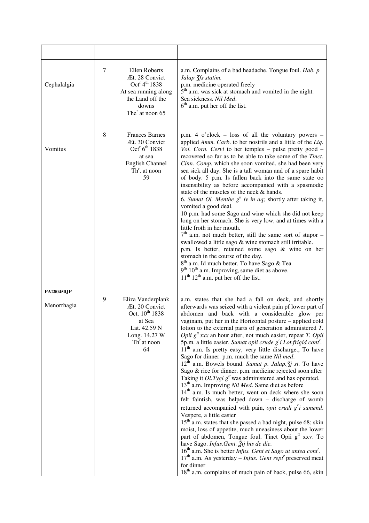| Cephalalgia                      | 7 | Ellen Roberts<br>Æt. 28 Convict<br>Oct <sup>r</sup> $4^{\text{th}}$ 1838<br>At sea running along<br>the Land off the<br>downs<br>The <sup>r</sup> at noon 65 | a.m. Complains of a bad headache. Tongue foul. Hab. p<br>Jalap 3fs statim.<br>p.m. medicine operated freely<br>$5th$ a.m. was sick at stomach and vomited in the night.<br>Sea sickness. Nil Med.<br>$6th$ a.m. put her off the list.                                                                                                                                                                                                                                                                                                                                                                                                                                                                                                                                                                                                                                                                                                                                                                                                                                                                                                                                                                                                                                                                                                                                                                                                                                                                                                                                        |
|----------------------------------|---|--------------------------------------------------------------------------------------------------------------------------------------------------------------|------------------------------------------------------------------------------------------------------------------------------------------------------------------------------------------------------------------------------------------------------------------------------------------------------------------------------------------------------------------------------------------------------------------------------------------------------------------------------------------------------------------------------------------------------------------------------------------------------------------------------------------------------------------------------------------------------------------------------------------------------------------------------------------------------------------------------------------------------------------------------------------------------------------------------------------------------------------------------------------------------------------------------------------------------------------------------------------------------------------------------------------------------------------------------------------------------------------------------------------------------------------------------------------------------------------------------------------------------------------------------------------------------------------------------------------------------------------------------------------------------------------------------------------------------------------------------|
| Vomitus                          | 8 | <b>Frances Barnes</b><br>Æt. 30 Convict<br>$Oct^r 6^{th} 1838$<br>at sea<br><b>English Channel</b><br>$Thr$ . at noon<br>59                                  | p.m. $4$ o'clock – loss of all the voluntary powers –<br>applied Amm. Carb. to her nostrils and a little of the Liq.<br>Vol. Corn. Cervi to her temples - pulse pretty good -<br>recovered so far as to be able to take some of the Tinct.<br>Cinn. Comp. which she soon vomited, she had been very<br>sea sick all day. She is a tall woman and of a spare habit<br>of body. 5 p.m. Is fallen back into the same state oo<br>insensibility as before accompanied with a spasmodic<br>state of the muscles of the neck & hands.<br>6. Sumat Ol. Menthe $g^t$ iv in aq; shortly after taking it,<br>vomited a good deal.<br>10 p.m. had some Sago and wine which she did not keep<br>long on her stomach. She is very low, and at times with a<br>little froth in her mouth.<br>$7th$ a.m. not much better, still the same sort of stupor –<br>swallowed a little sago & wine stomach still irritable.<br>p.m. Is better, retained some sago & wine on her<br>stomach in the course of the day.<br>8 <sup>th</sup> a.m. Id much better. To have Sago & Tea<br>$9th 10th$ a.m. Improving, same diet as above.<br>$11th 12th$ a.m. put her off the list.                                                                                                                                                                                                                                                                                                                                                                                                                        |
| <b>PA280450JP</b><br>Menorrhagia | 9 | Eliza Vanderplank<br>Æt. 20 Convict<br>Oct. 10 <sup>th</sup> 1838<br>at Sea<br>Lat. 42.59 N<br>Long. 14.27 W<br>Th <sup>r</sup> at noon<br>64                | a.m. states that she had a fall on deck, and shortly<br>afterwards was seized with a violent pain pf lower part of<br>abdomen and back with a considerable glow per<br>vaginam, put her in the Horizontal posture - applied cold<br>lotion to the external parts of generation administered $T$ .<br><i>Opii</i> $g''$ xxx an hour after, not much easier, repeat <i>T</i> . <i>Opii</i><br>5p.m. a little easier. Sumat opii crude g'i Lot.frigid cont'.<br>$11th$ a.m. Is pretty easy, very little discharge., To have<br>Sago for dinner. p.m. much the same Nil med.<br>$12^{\overline{h}}$ a.m. Bowels bound. Sumat p. Jalap. $\overline{f}j$ st. To have<br>Sago & rice for dinner. p.m. medicine rejected soon after<br>Taking it Ol. Tygl $gtt$ was administered and has operated.<br>13 <sup>th</sup> a.m. Improving Nil Med. Same diet as before<br>14 <sup>th</sup> a.m. Is much better, went on deck where she soon<br>felt faintish, was helped down - discharge of womb<br>returned accompanied with pain, opii crudi $g^r i$ sumend.<br>Vespere, a little easier<br>$15th$ a.m. states that she passed a bad night, pulse 68; skin<br>moist, loss of appetite, much uneasiness about the lower<br>part of abdomen, Tongue foul. Tinct Opii g <sup>tt</sup> xxv. To<br>have Sago. Infus. Gent. Žij bis de die.<br>$16th$ a.m. She is better <i>Infus. Gent et Sago ut antea cont'</i> .<br>$17th$ a.m. As yesterday – <i>Infus. Gent rept<sup>r</sup></i> preserved meat<br>for dinner<br>18 <sup>th</sup> a.m. complains of much pain of back, pulse 66, skin |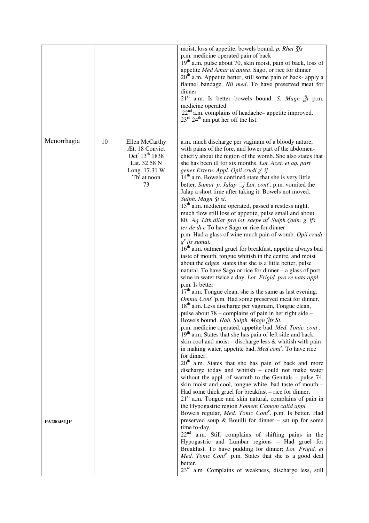|                                        |                                                                                                                                    | moist, loss of appetite, bowels bound. p. Rhei 3fs<br>p.m. medicine operated pain of back<br>$19th$ a.m. pulse about 70, skin moist, pain of back, loss of<br>appetite Med Amar ut antea. Sago, or rice for dinner<br>$20th$ a.m. Appetite better, still some pain of back- apply a<br>flannel bandage. Nil med. To have preserved meat for<br>dinner<br>$21st$ a.m. Is better bowels bound. S. Magn $\tilde{z}$ i p.m.<br>medicine operated<br>$22nd$ a.m. complains of headache- appetite improved.<br>$23^{\text{rd}}$ 24 <sup>th</sup> am put her off the list.                                                                                                                                                                                                                                                                                                                                                                                                                                                                                                                                                                                                                                                                                                                                                                                                                                                                                                                                                                                                                                                                                                                                                                                                                                                                                                                                                                                                                                                                                                                                                                                                                                                                                                                                                                                                                                                                                                                                                                                                                                                                                                                                    |
|----------------------------------------|------------------------------------------------------------------------------------------------------------------------------------|--------------------------------------------------------------------------------------------------------------------------------------------------------------------------------------------------------------------------------------------------------------------------------------------------------------------------------------------------------------------------------------------------------------------------------------------------------------------------------------------------------------------------------------------------------------------------------------------------------------------------------------------------------------------------------------------------------------------------------------------------------------------------------------------------------------------------------------------------------------------------------------------------------------------------------------------------------------------------------------------------------------------------------------------------------------------------------------------------------------------------------------------------------------------------------------------------------------------------------------------------------------------------------------------------------------------------------------------------------------------------------------------------------------------------------------------------------------------------------------------------------------------------------------------------------------------------------------------------------------------------------------------------------------------------------------------------------------------------------------------------------------------------------------------------------------------------------------------------------------------------------------------------------------------------------------------------------------------------------------------------------------------------------------------------------------------------------------------------------------------------------------------------------------------------------------------------------------------------------------------------------------------------------------------------------------------------------------------------------------------------------------------------------------------------------------------------------------------------------------------------------------------------------------------------------------------------------------------------------------------------------------------------------------------------------------------------------|
| Menorrhagia<br>10<br><b>PA280451JP</b> | Ellen McCarthy<br>Æt. 18 Convict<br>Oct <sup>r</sup> 13 <sup>th</sup> 1838<br>Lat. 32.58 N<br>Long. 17.31 W<br>$Thr$ at noon<br>73 | a.m. much discharge per vaginam of a bloody nature,<br>with pains of the fore, and lower part of the abdomen-<br>chiefly about the region of the womb. She also states that<br>she has been ill for six months. Lot. Acet. et aq. part<br>gener Extern. Appl. Opii crudi g' ij<br>$14th$ a.m. Bowels confined state that she is very little<br>better. Sumat p. Jalap $\Box j$ Lot. cont <sup>r</sup> . p.m. vomited the<br>Jalap a short time after taking it. Bowels not moved.<br>Sulph. Magn 3i st.<br>15 <sup>th</sup> a.m. medicine operated, passed a restless night,<br>much flow still loss of appetite, pulse small and about<br>80. Aq. Lith dilat pro lot. saepe $ut^r$ Sulph Quin: $g^r$ ifs<br>ter de di.e To have Sago or rice for dinner<br>p.m. Had a glass of wine much pain of womb. Opii crudi<br>$g'$ ifs sumat.<br>16 <sup>th</sup> a.m. oatmeal gruel for breakfast, appetite always bad<br>taste of mouth, tongue whitish in the centre, and moist<br>about the edges, states that she is a little better, pulse<br>natural. To have Sago or rice for dinner - a glass of port<br>wine in water twice a day. Lot. Frigid. pro re nata appl.<br>p.m. Is better<br>$17th$ a.m. Tongue clean, she is the same as last evening.<br>Omnia Cont <sup>r</sup> p.m. Had some preserved meat for dinner.<br>18 <sup>th</sup> a.m. Less discharge per vaginam, Tongue clean,<br>pulse about 78 – complains of pain in her right side –<br>Bowels bound. Hab. Sulph. Magn 2fs St.<br>p.m. medicine operated, appetite bad. Med. Tonic. cont'.<br>19 <sup>th</sup> a.m. States that she has pain of left side and back,<br>skin cool and moist – discharge less & whitish with pain<br>in making water, appetite bad, Med cont <sup>r</sup> . To have rice<br>for dinner.<br>20 <sup>th</sup> a.m. States that she has pain of back and more<br>discharge today and whitish - could not make water<br>without the appl. of warmth to the Genitals $-$ pulse 74,<br>skin moist and cool, tongue white, bad taste of mouth -<br>Had some thick gruel for breakfast – rice for dinner.<br>21 <sup>st</sup> a.m. Tongue and skin natural, complains of pain in<br>the Hypogastric region Foment Camom calid appl.<br>Bowels regular, Med. Tonic Cont'. p.m. Is better. Had<br>preserved soup $\&$ Bouilli for dinner – sat up for some<br>time to-day.<br>22 <sup>nd</sup><br>a.m. Still complains of shifting pains in the<br>Hypogastric and Lumbar regions - Had gruel for<br>Breakfast. To have pudding for dinner; Lot. Frigid. et<br>Med. Tonic Cont <sup>r</sup> . p.m. States that she is a good deal<br>better.<br>23 <sup>rd</sup> a.m. Complains of weakness, discharge less, still |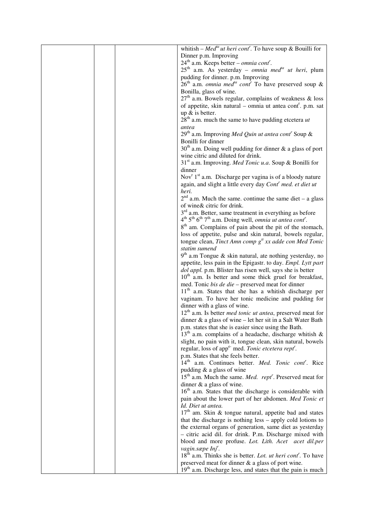| whitish – Med <sup>ta</sup> ut heri cont <sup>r</sup> . To have soup & Bouilli for                                                  |
|-------------------------------------------------------------------------------------------------------------------------------------|
| Dinner p.m. Improving                                                                                                               |
| $24th$ a.m. Keeps better – <i>omnia cont<sup>r</sup></i> .                                                                          |
| $25th$ a.m. As yesterday – omnia med <sup>ta</sup> ut heri, plum                                                                    |
| pudding for dinner. p.m. Improving                                                                                                  |
| $26th$ a.m. <i>omnia med<sup>ta</sup> cont<sup>r</sup></i> To have preserved soup &                                                 |
| Bonilla, glass of wine.                                                                                                             |
| $27th$ a.m. Bowels regular, complains of weakness & loss<br>of appetite, skin natural – omnia ut antea cont <sup>r</sup> . p.m. sat |
| up $&$ is better.                                                                                                                   |
| $28th$ a.m. much the same to have pudding etcetera <i>ut</i>                                                                        |
| antea                                                                                                                               |
| 29 <sup>th</sup> a.m. Improving Med Quin ut antea cont <sup>r</sup> Soup &                                                          |
| Bonilli for dinner                                                                                                                  |
| $30th$ a.m. Doing well pudding for dinner & a glass of port                                                                         |
| wine citric and diluted for drink.                                                                                                  |
| 31 <sup>st</sup> a.m. Improving. <i>Med Tonic u.a.</i> Soup & Bonilli for                                                           |
| dinner                                                                                                                              |
| Nov <sup>r</sup> 1 <sup>st</sup> a.m. Discharge per vagina is of a bloody nature                                                    |
| again, and slight a little every day Cont' med. et diet ut                                                                          |
| heri.                                                                                                                               |
| $2nd$ a.m. Much the same. continue the same diet – a glass<br>of wine & citric for drink.                                           |
| $3rd$ a.m. Better, same treatment in everything as before                                                                           |
| $4th 5th 6th 7th$ a.m. Doing well, <i>omnia ut antea cont</i> <sup>r</sup> .                                                        |
| 8 <sup>th</sup> am. Complains of pain about the pit of the stomach,                                                                 |
| loss of appetite, pulse and skin natural, bowels regular,                                                                           |
| tongue clean, Tinct Amn comp $gtt xx$ adde con Med Tonic                                                                            |
| statim sumend                                                                                                                       |
| $9th$ a.m Tongue & skin natural, ate nothing yesterday, no                                                                          |
| appetite, less pain in the Epigastr. to day. Empl. Lytt part                                                                        |
| dol appl. p.m. Blister has risen well, says she is better                                                                           |
| 10 <sup>th</sup> a.m. Is better and some thick gruel for breakfast,                                                                 |
| med. Tonic bis de die - preserved meat for dinner                                                                                   |
| $11th$ a.m. States that she has a whitish discharge per                                                                             |
| vaginam. To have her tonic medicine and pudding for                                                                                 |
| dinner with a glass of wine.<br>$12th$ a.m. Is better <i>med tonic ut antea</i> , preserved meat for                                |
| dinner $\&$ a glass of wine – let her sit in a Salt Water Bath                                                                      |
| p.m. states that she is easier since using the Bath.                                                                                |
| $13th$ a.m. complains of a headache, discharge whitish &                                                                            |
| slight, no pain with it, tongue clean, skin natural, bowels                                                                         |
| regular, loss of app <sup>e-</sup> med. Tonic etcetera rept <sup>r</sup> .                                                          |
| p.m. States that she feels better.                                                                                                  |
| 14 <sup>th</sup> a.m. Continues better. <i>Med. Tonic cont<sup>r</sup></i> . Rice                                                   |
| pudding $&$ a glass of wine                                                                                                         |
| $15th$ a.m. Much the same. <i>Med. rept</i> <sup><i>'</i></sup> . Preserved meat for                                                |
| dinner $\&$ a glass of wine.                                                                                                        |
| 16 <sup>th</sup> a.m. States that the discharge is considerable with                                                                |
| pain about the lower part of her abdomen. Med Tonic et                                                                              |
| Id. Diet ut antea.                                                                                                                  |
| $17th$ am. Skin & tongue natural, appetite bad and states<br>that the discharge is nothing less - apply cold lotions to             |
| the external organs of generation, same diet as yesterday                                                                           |
| - citric acid dil. for drink. P.m. Discharge mixed with                                                                             |
| blood and more profuse. Lot. Lith. Acet acet dil.per                                                                                |
| vagin.sæpe Inj <sup>r</sup> .                                                                                                       |
| $18th$ a.m. Thinks she is better. Lot. <i>ut heri cont</i> <sup>r</sup> . To have                                                   |
| preserved meat for dinner & a glass of port wine.                                                                                   |
| $19th$ a.m. Discharge less, and states that the pain is much                                                                        |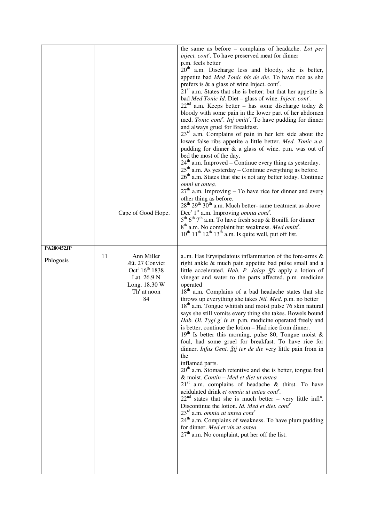|                         |    | Cape of Good Hope.                                                                                                            | the same as before - complains of headache. Lot per<br><i>inject. cont<sup>r</sup></i> . To have preserved meat for dinner<br>p.m. feels better<br>$20th$ a.m. Discharge less and bloody, she is better,<br>appetite bad Med Tonic bis de die. To have rice as she<br>prefers is $\&$ a glass of wine Inject. cont <sup>r</sup> .<br>$21st$ a.m. States that she is better; but that her appetite is<br>bad Med Tonic Id. Diet - glass of wine. Inject. cont'.<br>$22nd$ a.m. Keeps better – has some discharge today &<br>bloody with some pain in the lower part of her abdomen<br>med. Tonic cont'. Inj omitt'. To have pudding for dinner<br>and always gruel for Breakfast.<br>$23rd$ a.m. Complains of pain in her left side about the<br>lower false ribs appetite a little better. Med. Tonic u.a.<br>pudding for dinner $\&$ a glass of wine. p.m. was out of<br>bed the most of the day.<br>$24th$ a.m. Improved – Continue every thing as yesterday.<br>$25th$ a.m. As yesterday – Continue everything as before.<br>26 <sup>th</sup> a.m. States that she is not any better today. Continue<br>omni ut antea.<br>$27th$ a.m. Improving – To have rice for dinner and every<br>other thing as before.<br>$28th 29th 30th$ a.m. Much better- same treatment as above<br>Dec <sup>r</sup> 1 <sup>st</sup> a.m. Improving <i>omnia cont<sup>r</sup></i> .<br>$5^{\text{th}}$ $6^{\text{th}}$ $7^{\text{th}}$ a.m. To have fresh soup & Bonilli for dinner<br>8 <sup>th</sup> a.m. No complaint but weakness. Med omitt <sup>r</sup> .<br>$10^{th}$ $11^{th}$ $12^{th}$ $13^{th}$ a.m. Is quite well, put off list. |
|-------------------------|----|-------------------------------------------------------------------------------------------------------------------------------|----------------------------------------------------------------------------------------------------------------------------------------------------------------------------------------------------------------------------------------------------------------------------------------------------------------------------------------------------------------------------------------------------------------------------------------------------------------------------------------------------------------------------------------------------------------------------------------------------------------------------------------------------------------------------------------------------------------------------------------------------------------------------------------------------------------------------------------------------------------------------------------------------------------------------------------------------------------------------------------------------------------------------------------------------------------------------------------------------------------------------------------------------------------------------------------------------------------------------------------------------------------------------------------------------------------------------------------------------------------------------------------------------------------------------------------------------------------------------------------------------------------------------------------------------------------------------------------------------------------------------|
| PA280452JP<br>Phlogosis | 11 | Ann Miller<br>Æt. 27 Convict<br>Oct <sup>r</sup> 16 <sup>th</sup> 1838<br>Lat. 26.9 N<br>Long. 18.30 W<br>$Thr$ at noon<br>84 | a.m. Has Erysipelatous inflammation of the fore-arms &<br>right ankle & much pain appetite bad pulse small and a<br>little accelerated. Hab. P. Jalap 3fs apply a lotion of<br>vinegar and water to the parts affected. p.m. medicine<br>operated<br>18 <sup>th</sup> a.m. Complains of a bad headache states that she<br>throws up everything she takes Nil. Med. p.m. no better<br>18 <sup>th</sup> a.m. Tongue whitish and moist pulse 76 skin natural<br>says she still vomits every thing she takes. Bowels bound<br>Hab. Ol. Tygl $g^r$ iv st. p.m. medicine operated freely and<br>is better, continue the lotion – Had rice from dinner.<br>$19th$ Is better this morning, pulse 80, Tongue moist &<br>foul, had some gruel for breakfast. To have rice for<br>dinner. <i>Infus Gent.</i> $\tilde{A}$ ij ter de die very little pain from in<br>the<br>inflamed parts.<br>20 <sup>th</sup> a.m. Stomach retentive and she is better, tongue foul<br>& moist. Contin - Med et diet ut antea<br>$21st$ a.m. complains of headache & thirst. To have<br>acidulated drink et omnia ut antea cont <sup>r</sup> .<br>$22nd$ states that she is much better – very little infl <sup>n</sup> .<br>Discontinue the lotion. Id. Med et diet. cont <sup>r</sup><br>$23^{\text{rd}}$ a.m. <i>omnia ut antea cont</i> <sup>r</sup><br>24 <sup>th</sup> a.m. Complains of weakness. To have plum pudding<br>for dinner. Med et vin ut antea<br>$27th$ a.m. No complaint, put her off the list.                                                                                                                                   |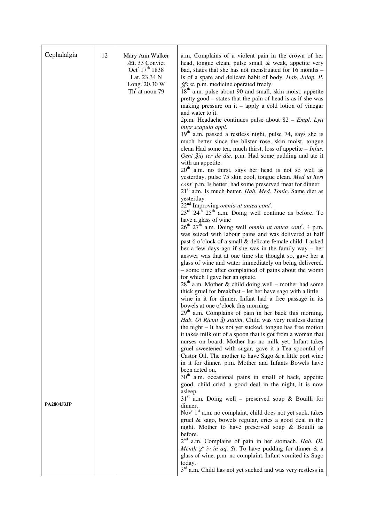| Cephalalgia       | 12 | Mary Ann Walker<br>Æt. 33 Convict<br>Oct <sup>r</sup> 17 <sup>th</sup> 1838<br>Lat. 23.34 N<br>Long. 20.30 W<br>$Thr$ at noon 79 | a.m. Complains of a violent pain in the crown of her<br>head, tongue clean, pulse small & weak, appetite very<br>bad, states that she has not menstruated for 16 months -<br>Is of a spare and delicate habit of body. Hab, Jalap. P.<br>3fs st. p.m. medicine operated freely.<br>$18th$ a.m. pulse about 90 and small, skin moist, appetite<br>pretty good - states that the pain of head is as if she was<br>making pressure on it – apply a cold lotion of vinegar<br>and water to it.<br>2p.m. Headache continues pulse about $82$ – <i>Empl. Lytt</i><br>inter scapula appl.<br>$19th$ a.m. passed a restless night, pulse 74, says she is<br>much better since the blister rose, skin moist, tongue<br>clean Had some tea, much thirst, loss of appetite $- Infus$ .<br>Gent Žiij ter de die. p.m. Had some pudding and ate it<br>with an appetite.<br>$20th$ a.m. no thirst, says her head is not so well as<br>yesterday, pulse 75 skin cool, tongue clean. Med ut heri<br>$\text{cont}^r$ p.m. Is better, had some preserved meat for dinner                                                                                                                                                                                                                                                                                                                        |
|-------------------|----|----------------------------------------------------------------------------------------------------------------------------------|-------------------------------------------------------------------------------------------------------------------------------------------------------------------------------------------------------------------------------------------------------------------------------------------------------------------------------------------------------------------------------------------------------------------------------------------------------------------------------------------------------------------------------------------------------------------------------------------------------------------------------------------------------------------------------------------------------------------------------------------------------------------------------------------------------------------------------------------------------------------------------------------------------------------------------------------------------------------------------------------------------------------------------------------------------------------------------------------------------------------------------------------------------------------------------------------------------------------------------------------------------------------------------------------------------------------------------------------------------------------------------|
|                   |    |                                                                                                                                  | $21st$ a.m. Is much better. <i>Hab. Med. Tonic</i> . Same diet as<br>yesterday<br>22 <sup>nd</sup> Improving <i>omnia ut antea cont<sup>r</sup></i> .<br>$23^{\text{rd}}$ $24^{\text{th}}$ $25^{\text{th}}$ a.m. Doing well continue as before. To<br>have a glass of wine<br>$26th 27th$ a.m. Doing well <i>omnia ut antea cont'</i> . 4 p.m.<br>was seized with labour pains and was delivered at half<br>past 6 o'clock of a small & delicate female child. I asked<br>her a few days ago if she was in the family way – her<br>answer was that at one time she thought so, gave her a<br>glass of wine and water immediately on being delivered.<br>- some time after complained of pains about the womb<br>for which I gave her an opiate.<br>$28th$ a.m. Mother & child doing well – mother had some<br>thick gruel for breakfast – let her have sago with a little<br>wine in it for dinner. Infant had a free passage in its<br>bowels at one o'clock this morning.<br>29 <sup>th</sup> a.m. Complains of pain in her back this morning.<br>Hab. Ol Ricini $\tilde{\mathfrak{Z}}$ statim. Child was very restless during<br>the night – It has not yet sucked, tongue has free motion<br>it takes milk out of a spoon that is got from a woman that<br>nurses on board. Mother has no milk yet. Infant takes<br>gruel sweetened with sugar, gave it a Tea spoonful of |
| <b>PA280453JP</b> |    |                                                                                                                                  | Castor Oil. The mother to have Sago & a little port wine<br>in it for dinner. p.m. Mother and Infants Bowels have<br>been acted on.<br>30 <sup>th</sup> a.m. occasional pains in small of back, appetite<br>good, child cried a good deal in the night, it is now<br>asleep.<br>$31st$ a.m. Doing well – preserved soup & Bouilli for<br>dinner.<br>Nov <sup>r</sup> 1 <sup>st</sup> a.m. no complaint, child does not yet suck, takes<br>gruel & sago, bowels regular, cries a good deal in the<br>night. Mother to have preserved soup & Bouilli as<br>before.<br>2 <sup>nd</sup> a.m. Complains of pain in her stomach. Hab. Ol.<br>Menth $g^t$ iv in aq. St. To have pudding for dinner & a<br>glass of wine. p.m. no complaint. Infant vomited its Sago<br>today.<br>3 <sup>rd</sup> a.m. Child has not yet sucked and was very restless in                                                                                                                                                                                                                                                                                                                                                                                                                                                                                                                              |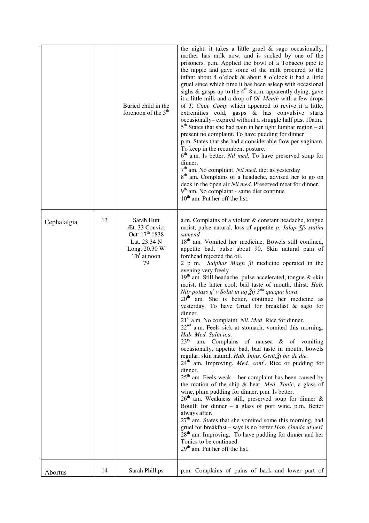|             |    | Buried child in the<br>forenoon of the $5th$                                                                                   | the night, it takes a little gruel $\&$ sago occasionally,<br>mother has milk now, and is sucked by one of the<br>prisoners. p.m. Applied the bowl of a Tobacco pipe to<br>the nipple and gave some of the milk procured to the<br>infant about 4 o'clock & about 8 o'clock it had a little<br>gruel since which time it has been asleep with occasional<br>sighs & gasps up to the $4th 8$ a.m. apparently dying, gave<br>it a little milk and a drop of <i>Ol. Menth</i> with a few drops<br>of T. Cinn. Comp which appeared to revive it a little,<br>extremities cold, gasps & has convulsive starts<br>occasionally-expired without a struggle half past 10a.m.<br>$5th$ States that she had pain in her right lumbar region – at<br>present no complaint. To have pudding for dinner<br>p.m. States that she had a considerable flow per vaginam.<br>To keep in the recumbent posture.<br>$6th$ a.m. Is better. <i>Nil med</i> . To have preserved soup for<br>dinner.<br>7 <sup>th</sup> am. No compliant. Nil med. diet as yesterday<br>8 <sup>th</sup> am. Complains of a headache, advised her to go on<br>deck in the open air Nil med. Preserved meat for dinner.<br>9 <sup>th</sup> am. No complaint - same diet continue<br>10 <sup>th</sup> am. Put her off the list.                                                                                                                                                                                                                                                                                                                                                                                                                                                                            |
|-------------|----|--------------------------------------------------------------------------------------------------------------------------------|-----------------------------------------------------------------------------------------------------------------------------------------------------------------------------------------------------------------------------------------------------------------------------------------------------------------------------------------------------------------------------------------------------------------------------------------------------------------------------------------------------------------------------------------------------------------------------------------------------------------------------------------------------------------------------------------------------------------------------------------------------------------------------------------------------------------------------------------------------------------------------------------------------------------------------------------------------------------------------------------------------------------------------------------------------------------------------------------------------------------------------------------------------------------------------------------------------------------------------------------------------------------------------------------------------------------------------------------------------------------------------------------------------------------------------------------------------------------------------------------------------------------------------------------------------------------------------------------------------------------------------------------------------------------------------------------------------------------------------------------------------------------|
| Cephalalgia | 13 | Sarah Hutt<br>Æt. 33 Convict<br>Oct <sup>r</sup> 17 <sup>th</sup> 1838<br>Lat. 23.34 N<br>Long. 20.30 W<br>$Thr$ at noon<br>79 | a.m. Complains of a violent & constant headache, tongue<br>moist, pulse natural, loss of appetite $p$ . Jalap $\frac{7}{5}$ fs statim<br>sumend<br>18 <sup>th</sup> am. Vomited her medicine, Bowels still confined,<br>appetite bad, pulse about 90, Skin natural pain of<br>forehead rejected the oil.<br>Sulphas Magn $\tilde{z}$ i medicine operated in the<br>$2$ p m.<br>evening very freely<br>19 <sup>th</sup> am. Still headache, pulse accelerated, tongue & skin<br>moist, the latter cool, bad taste of mouth, thirst. Hab.<br>Nitr potass $g^{r}$ v Solut in aq $\tilde{A}$ ij 3 <sup>tia</sup> quequa hora<br>$20th$ am. She is better, continue her medicine as<br>yesterday. To have Gruel for breakfast & sago for<br>dinner.<br>21 <sup>st</sup> a.m. No complaint. <i>Nil. Med.</i> Rice for dinner.<br>$22nd$ a.m. Feels sick at stomach, vomited this morning.<br>Hab. Med. Salin u.a.<br>$23^{\rm rd}$<br>am. Complains of nausea & of vomiting<br>occasionally, appetite bad, bad taste in mouth, bowels<br>regular, skin natural. Hab. Infus. Gent. Ži bis de die.<br>$24^{\text{th}}$ am. Improving. <i>Med. cont<sup>r</sup></i> . Rice or pudding for<br>dinner.<br>$25th$ am. Feels weak – her complaint has been caused by<br>the motion of the ship & heat. Med. Tonic, a glass of<br>wine, plum pudding for dinner. p.m. Is better.<br>$26th$ am. Weakness still, preserved soup for dinner &<br>Bouilli for dinner $-$ a glass of port wine. p.m. Better<br>always after.<br>$27th$ am. States that she vomited some this morning, had<br>gruel for breakfast - says is no better Hab. Omnia ut heri<br>$28th$ am. Improving. To have pudding for dinner and her<br>Tonics to be continued.<br>$29th$ am. Put her off the list. |
| Abortus     | 14 | Sarah Phillips                                                                                                                 | p.m. Complains of pains of back and lower part of                                                                                                                                                                                                                                                                                                                                                                                                                                                                                                                                                                                                                                                                                                                                                                                                                                                                                                                                                                                                                                                                                                                                                                                                                                                                                                                                                                                                                                                                                                                                                                                                                                                                                                               |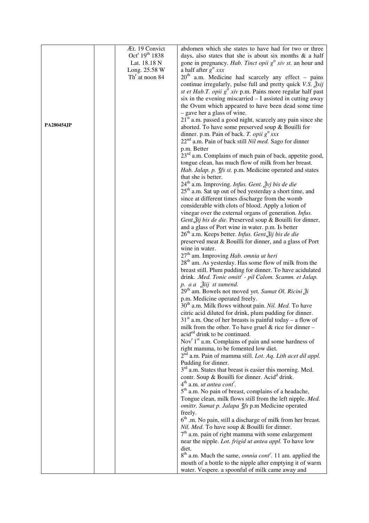|            | Æt. 19 Convict                         | abdomen which she states to have had for two or three                                    |
|------------|----------------------------------------|------------------------------------------------------------------------------------------|
|            | Oct <sup>r</sup> 19 <sup>th</sup> 1838 | days, also states that she is about six months $\&$ a half                               |
|            | Lat. 18.18 N                           | gone in pregnancy. Hab. Tinct opii $gtt xiv st$ . an hour and                            |
|            | Long. 25.58 W                          | a half after $g^t$ xxx                                                                   |
|            | Th <sup>r</sup> at noon 84             | $20th$ a.m. Medicine had scarcely any effect - pains                                     |
|            |                                        | continue irregularly, pulse full and pretty quick <i>V.S.</i> $\frac{3}{2}$ <i>xij</i>   |
|            |                                        | st et Hab.T. opii $g^t$ xiv p.m. Pains more regular half past                            |
|            |                                        | six in the evening miscarried - I assisted in cutting away                               |
|            |                                        | the Ovum which appeared to have been dead some time                                      |
|            |                                        | - gave her a glass of wine.                                                              |
|            |                                        | 21 <sup>st</sup> a.m. passed a good night, scarcely any pain since she                   |
| PA280454JP |                                        | aborted. To have some preserved soup & Bouilli for                                       |
|            |                                        | dinner. p.m. Pain of back. T. opii $g^t$ xxx                                             |
|            |                                        | $22nd$ a.m. Pain of back still <i>Nil med</i> . Sago for dinner                          |
|            |                                        | p.m. Better                                                                              |
|            |                                        | 23 <sup>rd</sup> a.m. Complains of much pain of back, appetite good,                     |
|            |                                        | tongue clean, has much flow of milk from her breast.                                     |
|            |                                        | Hab. Jalap. p. 3fs st. p.m. Medicine operated and states                                 |
|            |                                        | that she is better.                                                                      |
|            |                                        | $24th$ a.m. Improving. <i>Infus. Gent.</i> $\frac{3}{2}$ <i>yj bis de die</i>            |
|            |                                        | $25th$ a.m. Sat up out of bed yesterday a short time, and                                |
|            |                                        | since at different times discharge from the womb                                         |
|            |                                        | considerable with clots of blood. Apply a lotion of                                      |
|            |                                        | vinegar over the external organs of generation. Infus.                                   |
|            |                                        | Gent. Žij bis de die. Preserved soup & Bouilli for dinner,                               |
|            |                                        | and a glass of Port wine in water. p.m. Is better                                        |
|            |                                        | 26 <sup>th</sup> a.m. Keeps better. Infus. Gent. Žij bis de die                          |
|            |                                        | preserved meat & Bouilli for dinner, and a glass of Port                                 |
|            |                                        | wine in water.                                                                           |
|            |                                        | $27th$ am. Improving <i>Hab. omnia ut heri</i>                                           |
|            |                                        | $28th$ am. As yesterday. Has some flow of milk from the                                  |
|            |                                        | breast still. Plum pudding for dinner. To have acidulated                                |
|            |                                        | drink. .Med. Tonic omitt' - pil Calom. Scamm. et Jalap.                                  |
|            |                                        | p. a a Žiij st sumend.<br>29 <sup>th</sup> am. Bowels not moved yet. Sumat Ol. Ricini Ži |
|            |                                        | p.m. Medicine operated freely.                                                           |
|            |                                        | 30 <sup>th</sup> a.m. Milk flows without pain. Nil. Med. To have                         |
|            |                                        | citric acid diluted for drink, plum pudding for dinner.                                  |
|            |                                        | $31st$ a.m. One of her breasts is painful today – a flow of                              |
|            |                                        | milk from the other. To have gruel $&$ rice for dinner –                                 |
|            |                                        | acided drink to be continued.                                                            |
|            |                                        | Nov <sup>r</sup> 1 <sup>st</sup> a.m. Complains of pain and some hardness of             |
|            |                                        | right mamma, to be fomented low diet.                                                    |
|            |                                        | $2^{\overline{nd}}$ a.m. Pain of mamma still. Lot. Aq. Lith acet dil appl.               |
|            |                                        | Pudding for dinner.                                                                      |
|            |                                        | $3rd$ a.m. States that breast is easier this morning. Med.                               |
|            |                                        | contr. Soup & Bouilli for dinner. Acid <sup>d</sup> drink.                               |
|            |                                        | $4th$ a.m. <i>ut antea cont</i> <sup>r</sup> .                                           |
|            |                                        | 5 <sup>th</sup> a.m. No pain of breast, complains of a headache,                         |
|            |                                        | Tongue clean, milk flows still from the left nipple. Med.                                |
|            |                                        | omittr. Sumat p. Jalapa 3fs p.m Medicine operated                                        |
|            |                                        | freely.                                                                                  |
|            |                                        | $6th$ .m. No pain, still a discharge of milk from her breast.                            |
|            |                                        | Nil. Med. To have soup & Bouilli for dinner.                                             |
|            |                                        | $7th$ a.m. pain of right mamma with some enlargement                                     |
|            |                                        | near the nipple. Lot. frigid ut antea appl. To have low                                  |
|            |                                        | diet.                                                                                    |
|            |                                        | 8 <sup>th</sup> a.m. Much the same, <i>omnia cont<sup>r</sup></i> . 11 am. applied the   |
|            |                                        | mouth of a bottle to the nipple after emptying it of warm                                |
|            |                                        | water. Vespere. a spoonful of milk came away and                                         |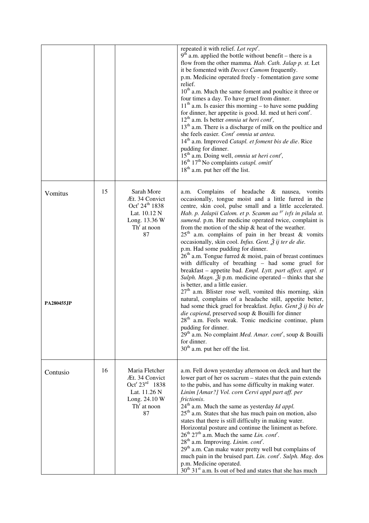|                               |    |                                                                                                                                    | repeated it with relief. Lot rept'.<br>$9th$ a.m. applied the bottle without benefit – there is a<br>flow from the other mamma. Hab. Cath. Jalap p. st. Let<br>it be fomented with <i>Decoct Camom</i> frequently.<br>p.m. Medicine operated freely - fomentation gave some<br>relief.<br>10 <sup>th</sup> a.m. Much the same foment and poultice it three or<br>four times a day. To have gruel from dinner.<br>$11th$ a.m. Is easier this morning – to have some pudding<br>for dinner, her appetite is good. Id. med ut heri cont <sup>r</sup> .<br>$12th$ a.m. Is better <i>omnia ut heri cont<sup>r</sup></i> ,<br>13 <sup>th</sup> a.m. There is a discharge of milk on the poultice and<br>she feels easier. Cont <sup>r</sup> omnia ut antea.<br>$14th$ a.m. Improved <i>Catapl. et foment bis de die.</i> Rice<br>pudding for dinner.<br>15 <sup>th</sup> a.m. Doing well, <i>omnia ut heri cont<sup>r</sup></i> ,<br>16 <sup>th</sup> 17 <sup>th</sup> No complaints <i>catapl. omitt<sup>r</sup></i><br>$18th$ a.m. put her off the list.                                                                                                                                                                                                                                                                |
|-------------------------------|----|------------------------------------------------------------------------------------------------------------------------------------|---------------------------------------------------------------------------------------------------------------------------------------------------------------------------------------------------------------------------------------------------------------------------------------------------------------------------------------------------------------------------------------------------------------------------------------------------------------------------------------------------------------------------------------------------------------------------------------------------------------------------------------------------------------------------------------------------------------------------------------------------------------------------------------------------------------------------------------------------------------------------------------------------------------------------------------------------------------------------------------------------------------------------------------------------------------------------------------------------------------------------------------------------------------------------------------------------------------------------------------------------------------------------------------------------------------------|
| Vomitus<br><b>PA280455,JP</b> | 15 | Sarah More<br>Æt. 34 Convict<br>Oct <sup>r</sup> 24 <sup>th</sup> 1838<br>Lat. 10.12 N<br>Long. 13.36 W<br>$Thr$ at noon<br>87     | Complains of headache & nausea,<br>vomits<br>a.m.<br>occasionally, tongue moist and a little furred in the<br>centre, skin cool, pulse small and a little accelerated.<br>Hab. p. Jalapii Calom. et p. Scamm aa <sup>gr</sup> ivfs in pilula st.<br>sumend. p.m. Her medicine operated twice, complaint is<br>from the motion of the ship $\&$ heat of the weather.<br>$25th$ a.m. complains of pain in her breast & vomits<br>occasionally, skin cool. Infus. Gent. $\tilde{\beta}$ ij ter de die.<br>p.m. Had some pudding for dinner.<br>$26th$ a.m. Tongue furred & moist, pain of breast continues<br>with difficulty of breathing - had some gruel for<br>breakfast - appetite bad. Empl. Lytt. part affect. appl. st<br>Sulph. Magn. $\tilde{A}$ i p.m. medicine operated – thinks that she<br>is better, and a little easier.<br>$27th$ a.m. Blister rose well, vomited this morning, skin<br>natural, complains of a headache still, appetite better,<br>had some thick gruel for breakfast. Infus. Gent $\tilde{\beta}$ ij bis de<br>die capiend, preserved soup & Bouilli for dinner<br>$28th$ a.m. Feels weak. Tonic medicine continue, plum<br>pudding for dinner.<br>$29th$ a.m. No complaint <i>Med. Amar. cont<sup>r</sup></i> , soup & Bouilli<br>for dinner.<br>$30th$ a.m. put her off the list. |
| Contusio                      | 16 | Maria Fletcher<br>Æt. 34 Convict<br>Oct <sup>r</sup> 23 <sup>rd</sup> 1838<br>Lat. 11.26 N<br>Long. 24.10 W<br>$Thr$ at noon<br>87 | a.m. Fell down yesterday afternoon on deck and hurt the<br>lower part of her os sacrum – states that the pain extends<br>to the pubis, and has some difficulty in making water.<br>Linim [Amar?] Vol. corn Cervi appl part aff. per<br>frictionis.<br>$24th$ a.m. Much the same as yesterday <i>Id appl</i> .<br>$25th$ a.m. States that she has much pain on motion, also<br>states that there is still difficulty in making water.<br>Horizontal posture and continue the liniment as before.<br>$26^{th}$ $27^{th}$ a.m. Much the same Lin. cont <sup>r</sup> .<br>28 <sup>th</sup> a.m. Improving. Linim. cont'.<br>29 <sup>th</sup> a.m. Can make water pretty well but complains of<br>much pain in the bruised part. Lin. cont'. Sulph. Mag. dos<br>p.m. Medicine operated.<br>30 <sup>th</sup> 31 <sup>st</sup> a.m. Is out of bed and states that she has much                                                                                                                                                                                                                                                                                                                                                                                                                                             |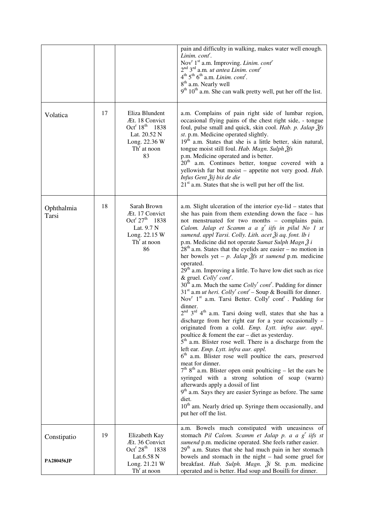|                     |    |                                                                                                                                    | pain and difficulty in walking, makes water well enough.<br>Linim. cont'.<br>Nov <sup>r</sup> 1 <sup>st</sup> a.m. Improving. <i>Linim. cont<sup>r</sup></i><br>$2nd 3rd$ a.m. <i>ut antea Linim. cont'</i><br>$4th 5th 6th$ a.m. Linim. cont <sup>r</sup> .<br>8 <sup>th</sup> a.m. Nearly well<br>$9th 10th$ a.m. She can walk pretty well, put her off the list.                                                                                                                                                                                                                                                                                                                                                                                                                                                                                                                                                                                                                                                                                                                                                                                                                                                                                                                                                                                                                                                                                                                                                                                                                                                                                                             |
|---------------------|----|------------------------------------------------------------------------------------------------------------------------------------|---------------------------------------------------------------------------------------------------------------------------------------------------------------------------------------------------------------------------------------------------------------------------------------------------------------------------------------------------------------------------------------------------------------------------------------------------------------------------------------------------------------------------------------------------------------------------------------------------------------------------------------------------------------------------------------------------------------------------------------------------------------------------------------------------------------------------------------------------------------------------------------------------------------------------------------------------------------------------------------------------------------------------------------------------------------------------------------------------------------------------------------------------------------------------------------------------------------------------------------------------------------------------------------------------------------------------------------------------------------------------------------------------------------------------------------------------------------------------------------------------------------------------------------------------------------------------------------------------------------------------------------------------------------------------------|
| Volatica            | 17 | Eliza Blundent<br>Æt. 18 Convict<br>Oct <sup>r</sup> 18 <sup>th</sup> 1838<br>Lat. 20.52 N<br>Long. 22.36 W<br>$Thr$ at noon<br>83 | a.m. Complains of pain right side of lumbar region,<br>occasional flying pains of the chest right side, - tongue<br>foul, pulse small and quick, skin cool. Hab. p. Jalap $\tilde{\mathcal{Z}}$ fs<br>st. p.m. Medicine operated slightly.<br>$19th$ a.m. States that she is a little better, skin natural,<br>tongue moist still foul. Hab. Magn. Sulph 3fs<br>p.m. Medicine operated and is better.<br>$20^{\text{th}}$<br>a.m. Continues better, tongue covered with a<br>yellowish fur but moist - appetite not very good. Hab.<br>Infus Gent Žij bis de die<br>$21st$ a.m. States that she is well put her off the list.                                                                                                                                                                                                                                                                                                                                                                                                                                                                                                                                                                                                                                                                                                                                                                                                                                                                                                                                                                                                                                                   |
| Ophthalmia<br>Tarsi | 18 | Sarah Brown<br>Æt. 17 Convict<br>Oct <sup>r</sup> 27 <sup>th</sup> 1838<br>Lat. 9.7 N<br>Long. 22.15 W<br>$Thr$ at noon<br>86      | a.m. Slight ulceration of the interior eye-lid – states that<br>she has pain from them extending down the face $-$ has<br>not menstruated for two months - complains pain.<br>Calom. Jalap et Scamm a a $g^r$ iifs in pilul No 1 st<br>sumend. appl Tarsi. Colly. Lith. acet Ži aq. font. lb i<br>p.m. Medicine did not operate Sumat Sulph Magn 2 i<br>$28th$ a.m. States that the eyelids are easier – no motion in<br>her bowels yet – p. Jalap $\tilde{g}$ fs st sumend p.m. medicine<br>operated.<br>29 <sup>th</sup> a.m. Improving a little. To have low diet such as rice<br>& gruel. $Colly'$ cont'.<br>$30th$ a.m. Much the same <i>Colly' cont'</i> . Pudding for dinner<br>$31st$ a.m <i>ut heri. Colly' cont'</i> – Soup & Bouilli for dinner.<br>Nov <sup>r</sup> $1st$ a.m. Tarsi Better. Colly <sup>r</sup> cont <sup>r</sup> . Pudding for<br>dinner.<br>2 <sup>nd</sup> 3 <sup>rd</sup> 4 <sup>th</sup> a.m. Tarsi doing well, states that she has a<br>discharge from her right ear for a year occasionally -<br>originated from a cold. Emp. Lytt. infra aur. appl.<br>poultice $&$ foment the ear – diet as yesterday.<br>$5th$ a.m. Blister rose well. There is a discharge from the<br>left ear. Emp. Lytt. infra aur. appl.<br>$6th$ a.m. Blister rose well poultice the ears, preserved<br>meat for dinner.<br>$7th 8th$ a.m. Blister open omit poulticing – let the ears be<br>syringed with a strong solution of soap (warm)<br>afterwards apply a dossil of lint<br>9 <sup>th</sup> a.m. Says they are easier Syringe as before. The same<br>diet.<br>10 <sup>th</sup> am. Nearly dried up. Syringe them occasionally, and<br>put her off the list. |
| Constipatio         | 19 | Elizabeth Kay<br>Æt. 36 Convict<br>Oct <sup>r</sup> $28^{th}$ 1838                                                                 | a.m. Bowels much constipated with uneasiness of<br>stomach Pil Calom. Scamm et Jalap p. a a g' iifs st<br>sumend p.m. medicine operated. She feels rather easier.<br>29 <sup>th</sup> a.m. States that she had much pain in her stomach                                                                                                                                                                                                                                                                                                                                                                                                                                                                                                                                                                                                                                                                                                                                                                                                                                                                                                                                                                                                                                                                                                                                                                                                                                                                                                                                                                                                                                         |
| <b>PA280456JP</b>   |    | Lat.6.58 N<br>Long. 21.21 W<br>$Thr$ at noon                                                                                       | bowels and stomach in the night - had some gruel for<br>breakfast. Hab. Sulph. Magn. $\tilde{\beta}$ i St. p.m. medicine<br>operated and is better. Had soup and Bouilli for dinner.                                                                                                                                                                                                                                                                                                                                                                                                                                                                                                                                                                                                                                                                                                                                                                                                                                                                                                                                                                                                                                                                                                                                                                                                                                                                                                                                                                                                                                                                                            |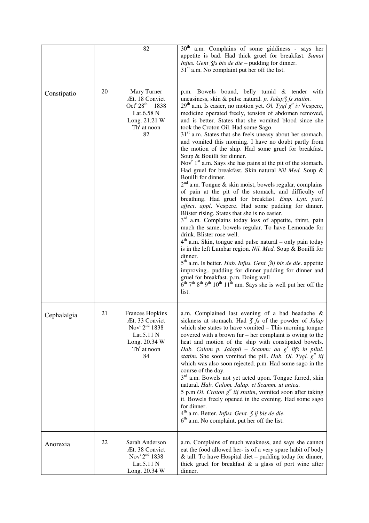|             |    | 82                                                                                                                                      | 30 <sup>th</sup> a.m. Complains of some giddiness - says her<br>appetite is bad. Had thick gruel for breakfast. Sumat<br><i>Infus. Gent <math>\frac{7}{5}</math> bis de die - pudding for dinner.</i><br>$31st$ a.m. No complaint put her off the list.                                                                                                                                                                                                                                                                                                                                                                                                                                                                                                                                                                                                                                                                                                                                                                                                                                                                                                                                                                                                                                                                                                                                                                                                                                                                                                                                                                                             |
|-------------|----|-----------------------------------------------------------------------------------------------------------------------------------------|-----------------------------------------------------------------------------------------------------------------------------------------------------------------------------------------------------------------------------------------------------------------------------------------------------------------------------------------------------------------------------------------------------------------------------------------------------------------------------------------------------------------------------------------------------------------------------------------------------------------------------------------------------------------------------------------------------------------------------------------------------------------------------------------------------------------------------------------------------------------------------------------------------------------------------------------------------------------------------------------------------------------------------------------------------------------------------------------------------------------------------------------------------------------------------------------------------------------------------------------------------------------------------------------------------------------------------------------------------------------------------------------------------------------------------------------------------------------------------------------------------------------------------------------------------------------------------------------------------------------------------------------------------|
| Constipatio | 20 | Mary Turner<br>Æt. 18 Convict<br>Oct <sup>r</sup> 28 <sup>th</sup> 1838<br>Lat.6.58 N<br>Long. 21.21 W<br>$Thr$ at noon<br>82           | p.m. Bowels bound, belly tumid & tender with<br>uneasiness, skin & pulse natural. p. Jalap3 fs statim.<br>$29th$ a.m. Is easier, no motion yet. <i>Ol. Tygl g<sup>tt</sup> iv</i> Vespere,<br>medicine operated freely, tension of abdomen removed,<br>and is better. States that she vomited blood since she<br>took the Croton Oil. Had some Sago.<br>$31st$ a.m. States that she feels uneasy about her stomach,<br>and vomited this morning. I have no doubt partly from<br>the motion of the ship. Had some gruel for breakfast.<br>Soup & Bouilli for dinner.<br>Nov <sup>r</sup> $1st$ a.m. Says she has pains at the pit of the stomach.<br>Had gruel for breakfast. Skin natural Nil Med. Soup &<br>Bouilli for dinner.<br>$2nd$ a.m. Tongue & skin moist, bowels regular, complains<br>of pain at the pit of the stomach, and difficulty of<br>breathing. Had gruel for breakfast. Emp. Lytt. part.<br>affect. appl. Vespere. Had some pudding for dinner.<br>Blister rising. States that she is no easier.<br>3 <sup>rd</sup> a.m. Complains today loss of appetite, thirst, pain<br>much the same, bowels regular. To have Lemonade for<br>drink. Blister rose well.<br>$4th$ a.m. Skin, tongue and pulse natural – only pain today<br>is in the left Lumbar region. Nil. Med. Soup & Bouilli for<br>dinner.<br>5 <sup>th</sup> a.m. Is better. Hab. Infus. Gent. Žij bis de die. appetite<br>improving., pudding for dinner pudding for dinner and<br>gruel for breakfast. p.m. Doing well<br>$6^{th}$ 7 <sup>th</sup> 8 <sup>th</sup> 9 <sup>th</sup> 10 <sup>th</sup> 11 <sup>th</sup> am. Says she is well put her off the<br>list. |
| Cephalalgia | 21 | <b>Frances Hopkins</b><br>Æt. 33 Convict<br>Nov <sup>r</sup> 2 <sup>nd</sup> 1838<br>Lat.5.11 N<br>Long. 20.34 W<br>$Thr$ at noon<br>84 | a.m. Complained last evening of a bad headache &<br>sickness at stomach. Had $\zeta$ fs of the powder of Jalap<br>which she states to have vomited $-$ This morning tongue<br>covered with a brown fur $-$ her complaint is owing to the<br>heat and motion of the ship with constipated bowels.<br>Hab. Calom p. Jalapii – Scamm: aa $g^r$ iifs in pilul.<br><i>statim</i> . She soon vomited the pill. Hab. Ol. Tygl. $g^{\mu}$ iij<br>which was also soon rejected. p.m. Had some sago in the<br>course of the day.<br>3 <sup>rd</sup> a.m. Bowels not yet acted upon. Tongue furred, skin<br>natural. Hab. Calom. Jalap. et Scamm. ut antea.<br>5 p.m Ol. Croton $gtt$ iij statim, vomited soon after taking<br>it. Bowels freely opened in the evening. Had some sago<br>for dinner.<br>4 <sup>th</sup> a.m. Better. Infus. Gent. 3 ij bis de die.<br>$6th$ a.m. No complaint, put her off the list.                                                                                                                                                                                                                                                                                                                                                                                                                                                                                                                                                                                                                                                                                                                                           |
| Anorexia    | 22 | Sarah Anderson<br>Æt. 38 Convict<br>Nov <sup>r <math>2nd</math> 1838</sup><br>Lat.5.11 N<br>Long. 20.34 W                               | a.m. Complains of much weakness, and says she cannot<br>eat the food allowed her- is of a very spare habit of body<br>& tall. To have Hospital diet $-$ pudding today for dinner,<br>thick gruel for breakfast $\&$ a glass of port wine after<br>dinner.                                                                                                                                                                                                                                                                                                                                                                                                                                                                                                                                                                                                                                                                                                                                                                                                                                                                                                                                                                                                                                                                                                                                                                                                                                                                                                                                                                                           |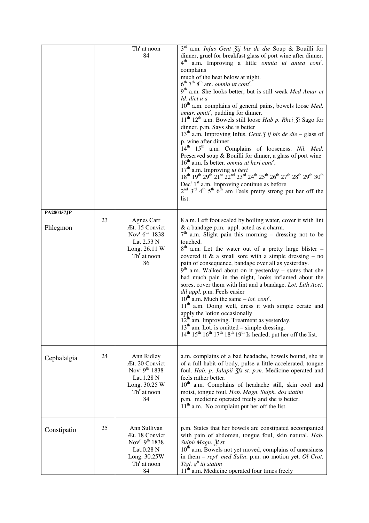|                        |    | $Thr$ at noon<br>84                                                                                                          | $3^{rd}$ a.m. <i>Infus Gent <math>\overline{3}</math>ij bis de die</i> Soup & Bouilli for<br>dinner, gruel for breakfast glass of port wine after dinner.<br>$4^{\text{th}}$<br>a.m. Improving a little <i>omnia ut antea cont'</i> .<br>complains<br>much of the heat below at night.<br>$6^{\text{th}}$ 7 <sup>th</sup> 8 <sup>th</sup> am. <i>omnia ut cont<sup>r</sup></i> .<br>9 <sup>th</sup> a.m. She looks better, but is still weak Med Amar et<br>Id. diet u a<br>10 <sup>th</sup> a.m. complains of general pains, bowels loose Med.<br>amar. omitt <sup>r</sup> , pudding for dinner.<br>11 <sup>th</sup> 12 <sup>th</sup> a.m. Bowels still loose Hab p. Rhei 3i Sago for<br>dinner. p.m. Says she is better<br>$13th$ a.m. Improving Infus. <i>Gent. J ij bis de die</i> – glass of<br>p. wine after dinner.<br>$14^{th}$ $15^{th}$<br>a.m. Complains of looseness. Nil. Med.<br>Preserved soup & Bouilli for dinner, a glass of port wine<br>$16th$ a.m. Is better, <i>omnia ut heri cont</i> <sup>r</sup> .<br>$17^{\text{th}}$ a.m. Improving $ut$<br>$heri$ 18 <sup>th</sup> 19 <sup>th</sup> 29 <sup>th</sup> 21 <sup>st</sup> 22 <sup>nd</sup> 23 <sup>rd</sup> 24 <sup>th</sup> 25 <sup>th</sup> 26 <sup>th</sup> 27 <sup>th</sup> 28 <sup>th</sup> 29 <sup>th</sup> 30 <sup>th</sup><br>$Decr 1st$ a.m. Improving continue as before<br>$2nd$ 3 <sup>rd</sup> 4 <sup>th</sup> 5 <sup>th</sup> 6 <sup>th</sup> am Feels pretty strong put her off the<br> |
|------------------------|----|------------------------------------------------------------------------------------------------------------------------------|--------------------------------------------------------------------------------------------------------------------------------------------------------------------------------------------------------------------------------------------------------------------------------------------------------------------------------------------------------------------------------------------------------------------------------------------------------------------------------------------------------------------------------------------------------------------------------------------------------------------------------------------------------------------------------------------------------------------------------------------------------------------------------------------------------------------------------------------------------------------------------------------------------------------------------------------------------------------------------------------------------------------------------------------------------------------------------------------------------------------------------------------------------------------------------------------------------------------------------------------------------------------------------------------------------------------------------------------------------------------------------------------------------------------------------------------------------------------------------|
| PA280457JP<br>Phlegmon | 23 | Agnes Carr<br>Æt. 15 Convict<br>Nov <sup>r</sup> $6^{th}$ 1838<br>Lat 2.53 N<br>Long. 26.11 W<br>$Thr$ at noon<br>86         | 8 a.m. Left foot scaled by boiling water, cover it with lint<br>& a bandage p.m. appl. acted as a charm.<br>$7th$ a.m. Slight pain this morning – dressing not to be<br>touched.<br>$8th$ a.m. Let the water out of a pretty large blister -<br>covered it $\&$ a small sore with a simple dressing – no<br>pain of consequence, bandage over all as yesterday.<br>$9th$ a.m. Walked about on it yesterday – states that she<br>had much pain in the night, looks inflamed about the<br>sores, cover them with lint and a bandage. Lot. Lith Acet.<br>dil appl. p.m. Feels easier<br>$10^{th}$ a.m. Much the same – <i>lot. cont<sup>r</sup></i> .<br>11 <sup>th</sup> a.m. Doing well, dress it with simple cerate and<br>apply the lotion occasionally<br>$12^{\text{th}}$ am. Improving. Treatment as yesterday.<br>$13th$ am. Lot. is omitted – simple dressing.<br>$14^{\text{th}} 15^{\text{th}} 16^{\text{th}} 17^{\text{th}} 18^{\text{th}} 19^{\text{th}}$ Is healed, put her off the list.                                                                                                                                                                                                                                                                                                                                                                                                                                                                           |
| Cephalalgia            | 24 | Ann Ridley<br>Æt. 20 Convict<br>Nov <sup>r 9th</sup> 1838<br>Lat.1.28 N<br>Long. 30.25 W<br>$Thr$ at noon<br>84              | a.m. complains of a bad headache, bowels bound, she is<br>of a full habit of body, pulse a little accelerated, tongue<br>foul. Hab. p. Jalapii 3fs st. p.m. Medicine operated and<br>feels rather better.<br>10 <sup>th</sup> a.m. Complains of headache still, skin cool and<br>moist, tongue foul. Hab. Magn. Sulph. dos statim<br>p.m. medicine operated freely and she is better.<br>$11th$ a.m. No complaint put her off the list.                                                                                                                                                                                                                                                                                                                                                                                                                                                                                                                                                                                                                                                                                                                                                                                                                                                                                                                                                                                                                                        |
| Constipatio            | 25 | Ann Sullivan<br>Æt. 18 Convict<br>Nov <sup>r</sup> 9 <sup>th</sup> 1838<br>Lat.0.28 N<br>Long. 30.25W<br>$Thr$ at noon<br>84 | p.m. States that her bowels are constipated accompanied<br>with pain of abdomen, tongue foul, skin natural. Hab.<br>Sulph Magn. Ži st.<br>$10th$ a.m. Bowels not yet moved, complains of uneasiness<br>in them $-$ rept <sup>r</sup> med Salin. p.m. no motion yet. Ol Crot.<br>Tigl. $g^t$ iij statim<br>11 <sup>th</sup> a.m. Medicine operated four times freely                                                                                                                                                                                                                                                                                                                                                                                                                                                                                                                                                                                                                                                                                                                                                                                                                                                                                                                                                                                                                                                                                                            |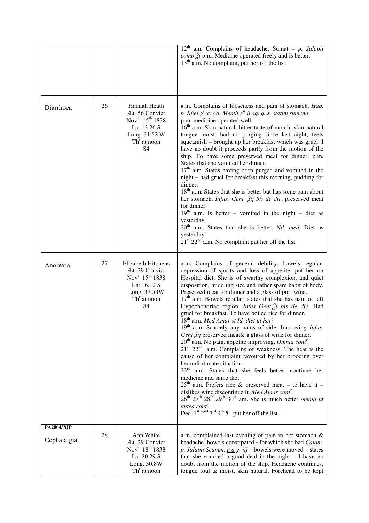|                           |    |                                                                                                                                                | $12th$ am. Complains of headache. Sumat – p. Jalapii<br><i>comp</i> $\tilde{A}$ <i>i</i> p.m. Medicine operated freely and is better.<br>$13th$ a.m. No complaint, put her off the list.                                                                                                                                                                                                                                                                                                                                                                                                                                                                                                                                                                                                                                                                                                                                                                                                                                                                                                                                                                                                                                                                                                                                                   |
|---------------------------|----|------------------------------------------------------------------------------------------------------------------------------------------------|--------------------------------------------------------------------------------------------------------------------------------------------------------------------------------------------------------------------------------------------------------------------------------------------------------------------------------------------------------------------------------------------------------------------------------------------------------------------------------------------------------------------------------------------------------------------------------------------------------------------------------------------------------------------------------------------------------------------------------------------------------------------------------------------------------------------------------------------------------------------------------------------------------------------------------------------------------------------------------------------------------------------------------------------------------------------------------------------------------------------------------------------------------------------------------------------------------------------------------------------------------------------------------------------------------------------------------------------|
| Diarrhoea                 | 26 | Hannah Heath<br>Æt. 56 Convict<br>Nov <sup>r</sup> 15 <sup>th</sup> 1838<br>Lat.13.26 S<br>Long. 31.52 W<br>$Thr$ at noon<br>84                | a.m. Complains of looseness and pain of stomach. Hab.<br>p. Rhei $g^r xv$ Ol. Menth $g^u$ ij aq. q. s. statim sumend<br>p.m. medicine operated well.<br>16 <sup>th</sup> a.m. Skin natural, bitter taste of mouth, skin natural<br>tongue moist, had no purging since last night, feels<br>squeamish - brought up her breakfast which was gruel. I<br>have no doubt it proceeds partly from the motion of the<br>ship. To have some preserved meat for dinner. p.m.<br>States that she vomited her dinner.<br>$17th$ a.m. States having been purged and vomited in the<br>night – had gruel for breakfast this morning, pudding for<br>dinner.<br>18 <sup>th</sup> a.m. States that she is better but has some pain about<br>her stomach. Infus. Gent. Žij bis de die, preserved meat<br>for dinner.<br>$19th$ a.m. Is better – vomited in the night – diet as<br>yesterday.<br>20 <sup>th</sup> a.m. States that she is better. Nil. med. Diet as<br>yesterday.<br>$21st 22nd$ a.m. No complaint put her off the list.                                                                                                                                                                                                                                                                                                                    |
| Anorexia                  | 27 | Elizabeth Hitchens<br>Æt. 29 Convict<br>Nov <sup>r</sup> 15 <sup>th</sup> 1838<br>Lat.16.12 S<br>Long. 37.53W<br>Th <sup>r</sup> at noon<br>84 | a.m. Complains of general debility, bowels regular,<br>depression of spirits and loss of appetite, put her on<br>Hospital diet. She is of swarthy complexion, and quiet<br>disposition, middling size and rather spare habit of body.<br>Preserved meat for dinner and a glass of port wine.<br>$17th$ a.m. Bowels regular, states that she has pain of left<br>Hypochondriac region. Infus Gent. Ži bis de die. Had<br>gruel for breakfast. To have boiled rice for dinner.<br>$18th$ a.m. Med Amar st Id. diet ut heri<br>$19th$ a.m. Scarcely any pains of side. Improving <i>Infus</i> .<br>Gent Žij preserved meat& a glass of wine for dinner.<br>$20th$ a.m. No pain, appetite improving. Omnia cont <sup>r</sup> .<br>$21st 22nd$ . a.m. Complains of weakness. The heat is the<br>cause of her complaint favoured by her brooding over<br>her unfortunate situation.<br>$23rd$ a.m. States that she feels better; continue her<br>medicine and same diet.<br>$25th$ a.m. Prefers rice & preserved meat – to have it –<br>dislikes wine discontinue it. Med Amar cont'.<br>$26^{\text{th}}$ $27^{\text{th}}$ $28^{\text{th}}$ $29^{\text{th}}$ $30^{\text{th}}$ am. She is much better <i>omnia ut</i><br>antea cont'.<br>Dec <sup>r</sup> 1 <sup>st</sup> $2^{nd}$ $3^{rd}$ 4 <sup>th</sup> 5 <sup>th</sup> put her off the list. |
| PA280458JP<br>Cephalalgia | 28 | Ann White<br>Æt. 29 Convict<br>Nov <sup>r</sup> 18 <sup>th</sup> 1838<br>Lat.20.29 S                                                           | a.m. complained last evening of pain in her stomach $\&$<br>headache, bowels constipated - for which she had Calom.<br><i>p. Jalapii Scamm.</i> $\underline{a} \underline{a} \underline{g}^r$ <i>iij</i> – bowels were moved – states<br>that she vomited a good deal in the night $- I$ have no                                                                                                                                                                                                                                                                                                                                                                                                                                                                                                                                                                                                                                                                                                                                                                                                                                                                                                                                                                                                                                           |
|                           |    | Long. 30.8W<br>$Thr$ at noon                                                                                                                   | doubt from the motion of the ship. Headache continues,<br>tongue foul & moist, skin natural. Forehead to be kept                                                                                                                                                                                                                                                                                                                                                                                                                                                                                                                                                                                                                                                                                                                                                                                                                                                                                                                                                                                                                                                                                                                                                                                                                           |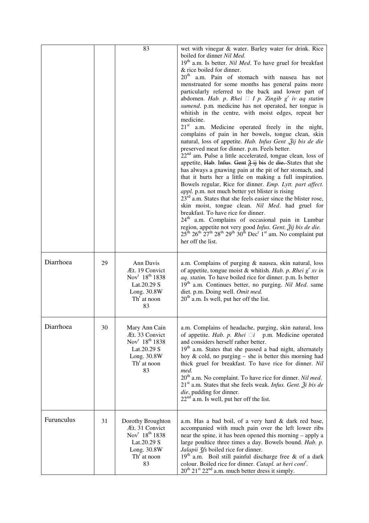|            |    | 83                                                                                                                                       | wet with vinegar & water. Barley water for drink. Rice<br>boiled for dinner Nil Med.<br>$19th$ a.m. Is better. <i>Nil Med</i> . To have gruel for breakfast<br>& rice boiled for dinner.<br>$20^{\text{th}}$<br>a.m. Pain of stomach with nausea has not<br>menstruated for some months has general pains more<br>particularly referred to the back and lower part of<br>abdomen. Hab. p. Rhei $\Box$ I p. Zingib g' iv aq statim<br>sumend. p.m. medicine has not operated, her tongue is<br>whitish in the centre, with moist edges, repeat her<br>medicine.<br>21 <sup>st</sup> a.m. Medicine operated freely in the night,<br>complains of pain in her bowels, tongue clean, skin<br>natural, loss of appetite. Hab. Infus Gent . 3ij bis de die<br>preserved meat for dinner. p.m. Feels better.<br>$22nd$ am. Pulse a little accelerated, tongue clean, loss of<br>appetite, Hab. Infus. Gent $\frac{3}{2}$ ij bis de die. States that she<br>has always a gnawing pain at the pit of her stomach, and<br>that it hurts her a little on making a full inspiration.<br>Bowels regular, Rice for dinner. Emp. Lytt. part affect.<br>appl. p.m. not much better yet blister is rising<br>$23rd$ a.m. States that she feels easier since the blister rose,<br>skin moist, tongue clean. Nil Med. had gruel for<br>breakfast. To have rice for dinner.<br>24 <sup>th</sup> a.m. Complains of occasional pain in Lumbar<br>region, appetite not very good Infus. Gent. Žij bis de die.<br>$25^{\text{th}}$ $26^{\text{th}}$ $27^{\text{th}}$ $28^{\text{th}}$ $29^{\text{th}}$ $30^{\text{th}}$ Dec <sup>r</sup> 1 <sup>st</sup> am. No complaint put<br>her off the list. |
|------------|----|------------------------------------------------------------------------------------------------------------------------------------------|----------------------------------------------------------------------------------------------------------------------------------------------------------------------------------------------------------------------------------------------------------------------------------------------------------------------------------------------------------------------------------------------------------------------------------------------------------------------------------------------------------------------------------------------------------------------------------------------------------------------------------------------------------------------------------------------------------------------------------------------------------------------------------------------------------------------------------------------------------------------------------------------------------------------------------------------------------------------------------------------------------------------------------------------------------------------------------------------------------------------------------------------------------------------------------------------------------------------------------------------------------------------------------------------------------------------------------------------------------------------------------------------------------------------------------------------------------------------------------------------------------------------------------------------------------------------------------------------------------------------------------------------------------------------------|
| Diarrhoea  | 29 | Ann Davis<br>Æt. 19 Convict<br>Nov <sup>r</sup> 18 <sup>th</sup> 1838<br>Lat.20.29 S<br>Long. 30.8W<br>$Thr$ at noon<br>83               | a.m. Complains of purging & nausea, skin natural, loss<br>of appetite, tongue moist & whitish. Hab. p. Rhei $g'$ xv in<br>aq. statim. To have boiled rice for dinner. p.m. Is better<br>$19th$ a.m. Continues better, no purging. Nil Med. same<br>diet. p.m. Doing well. Omit med.<br>$20th$ a.m. Is well, put her off the list.                                                                                                                                                                                                                                                                                                                                                                                                                                                                                                                                                                                                                                                                                                                                                                                                                                                                                                                                                                                                                                                                                                                                                                                                                                                                                                                                          |
| Diarrhoea  | 30 | Mary Ann Cain<br>Æt. 33 Convict<br>Nov <sup>r</sup> 18 <sup>th</sup> 1838<br>Lat.20.29 S<br>Long. 30.8W<br>Th <sup>r</sup> at noon<br>83 | a.m. Complains of headache, purging, skin natural, loss<br>of appetite. Hab. p. Rhei $\Box i$ p.m. Medicine operated<br>and considers herself rather better.<br>19 <sup>th</sup> a.m. States that she passed a bad night, alternately<br>hoy $\&$ cold, no purging – she is better this morning had<br>thick gruel for breakfast. To have rice for dinner. Nil<br>med.<br>$20th$ a.m. No complaint. To have rice for dinner. Nil med.<br>$21st$ a.m. States that she feels weak. Infus. Gent. $\tilde{A}$ i bis de<br>die, pudding for dinner.<br>$22nd$ a.m. Is well, put her off the list.                                                                                                                                                                                                                                                                                                                                                                                                                                                                                                                                                                                                                                                                                                                                                                                                                                                                                                                                                                                                                                                                               |
| Furunculus | 31 | Dorothy Broughton<br>Æt. 31 Convict<br>Nov <sup>r</sup> 18 <sup>th</sup> 1838<br>Lat.20.29 S<br>Long. 30.8W<br>$Thr$ at noon<br>83       | a.m. Has a bad boil, of a very hard & dark red base,<br>accompanied with much pain over the left lower ribs<br>near the spine, it has been opened this morning – apply a<br>large poultice three times a day. Bowels bound. Hab. p.<br>Jalapii 3fs boiled rice for dinner.<br>$19th$ a.m. Boil still painful discharge free & of a dark<br>colour. Boiled rice for dinner. Catapl. ut heri cont <sup>r</sup> .<br>$20^{th}$ $21^{st}$ $22^{nd}$ a.m. much better dress it simply.                                                                                                                                                                                                                                                                                                                                                                                                                                                                                                                                                                                                                                                                                                                                                                                                                                                                                                                                                                                                                                                                                                                                                                                          |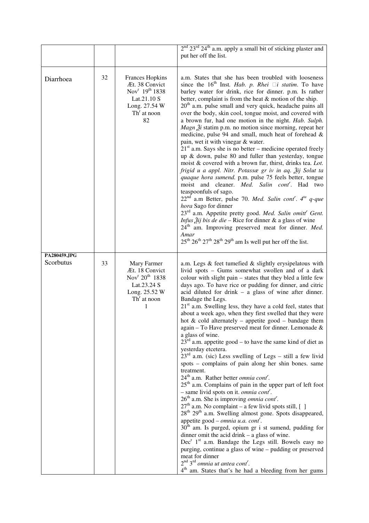|                           |    |                                                                                                                                           | $2nd 23rd 24th$ a.m. apply a small bit of sticking plaster and<br>put her off the list.                                                                                                                                                                                                                                                                                                                                                                                                                                                                                                                                                                                                                                                                                                                                                                                                                                                                                                                                                                                                                                                                                                                                                                                                                                                                                                                                                                                                                                                                                                                                                                                 |
|---------------------------|----|-------------------------------------------------------------------------------------------------------------------------------------------|-------------------------------------------------------------------------------------------------------------------------------------------------------------------------------------------------------------------------------------------------------------------------------------------------------------------------------------------------------------------------------------------------------------------------------------------------------------------------------------------------------------------------------------------------------------------------------------------------------------------------------------------------------------------------------------------------------------------------------------------------------------------------------------------------------------------------------------------------------------------------------------------------------------------------------------------------------------------------------------------------------------------------------------------------------------------------------------------------------------------------------------------------------------------------------------------------------------------------------------------------------------------------------------------------------------------------------------------------------------------------------------------------------------------------------------------------------------------------------------------------------------------------------------------------------------------------------------------------------------------------------------------------------------------------|
| Diarrhoea                 | 32 | <b>Frances Hopkins</b><br>Æt. 38 Convict<br>Nov <sup>r</sup> 19 <sup>th</sup> 1838<br>Lat.21.10 S<br>Long. 27.54 W<br>$Thr$ at noon<br>82 | a.m. States that she has been troubled with looseness<br>since the $16th$ Inst. Hab. p. Rhei $\Box i$ statim. To have<br>barley water for drink, rice for dinner. p.m. Is rather<br>better, complaint is from the heat & motion of the ship.<br>$20th$ a.m. pulse small and very quick, headache pains all<br>over the body, skin cool, tongue moist, and covered with<br>a brown fur, had one motion in the night. Hab. Sulph.<br><i>Magn</i> $2i$ statim p.m. no motion since morning, repeat her<br>medicine, pulse 94 and small, much heat of forehead &<br>pain, wet it with vinegar & water.<br>$21st$ a.m. Says she is no better – medicine operated freely<br>up & down, pulse 80 and fuller than yesterday, tongue<br>moist & covered with a brown fur, thirst, drinks tea. Lot.<br>frigid u a appl. Nitr. Potassæ gr iv in aq. Žij Solut ta<br>quaque hora sumend. p.m. pulse 75 feels better, tongue<br>moist and cleaner. Med. Salin cont <sup>r</sup> . Had two<br>teaspoonfuls of sago.<br>22 <sup>nd</sup> a.m Better, pulse 70. Med. Salin cont <sup>r</sup> . 4 <sup>ta</sup> q-que<br>hora Sago for dinner<br>23 <sup>rd</sup> a.m. Appetite pretty good. Med. Salin omitt <sup>r</sup> Gent.<br><i>Infus <math>\tilde{2}</math>ij bis de die - Rice for dinner &amp; a glass of wine</i><br>24 <sup>th</sup> am. Improving preserved meat for dinner. Med.<br>Amar<br>$25^{\text{th}} 26^{\text{th}} 27^{\text{th}} 28^{\text{th}} 29^{\text{th}}$ am Is well put her off the list.                                                                                                                                                                  |
| PA280459.JPG<br>Scorbutus | 33 | Mary Farmer<br>Æt. 18 Convict<br>Nov <sup>r</sup> 20 <sup>th</sup> 1838<br>Lat.23.24 S<br>Long. 25.52 W<br>$Thr$ at noon<br>1             | a.m. Legs & feet tumefied & slightly erysipelatous with<br>livid spots - Gums somewhat swollen and of a dark<br>colour with slight pain - states that they bled a little few<br>days ago. To have rice or pudding for dinner, and citric<br>acid diluted for drink $-$ a glass of wine after dinner.<br>Bandage the Legs.<br>21 <sup>st</sup> a.m. Swelling less, they have a cold feel, states that<br>about a week ago, when they first swelled that they were<br>hot $\&$ cold alternately – appetite good – bandage them<br>again - To Have preserved meat for dinner. Lemonade &<br>a glass of wine.<br>$23^{\text{rd}}$ a.m. appetite good – to have the same kind of diet as<br>yesterday etcetera.<br>$23rd$ a.m. (sic) Less swelling of Legs - still a few livid<br>spots – complains of pain along her shin bones. same<br>treatment.<br>24 <sup>th</sup> a.m. Rather better <i>omnia cont'</i> .<br>25 <sup>th</sup> a.m. Complains of pain in the upper part of left foot<br>- same livid spots on it. omnia cont <sup>r</sup> .<br>$26th$ a.m. She is improving <i>omnia cont</i> <sup>r</sup> .<br>$27th$ a.m. No complaint – a few livid spots still, [ ]<br>28 <sup>th</sup> 29 <sup>th</sup> a.m. Swelling almost gone. Spots disappeared,<br>appetite good – <i>omnia u.a. cont</i> ".<br>$30th$ am. Is purged, opium gr i st sumend, pudding for<br>dinner omit the acid drink $-$ a glass of wine.<br>$Decr 1st$ a.m. Bandage the Legs still. Bowels easy no<br>purging, continue a glass of wine – pudding or preserved<br>meat for dinner<br>$2nd 3rd omnia ut antea contr.$<br>4 <sup>th</sup> am. States that's he had a bleeding from her gums |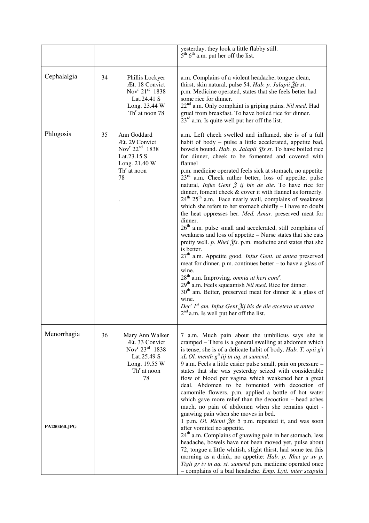|                             |    |                                                                                                                                    | yesterday, they look a little flabby still.<br>$5th 6th$ a.m. put her off the list.                                                                                                                                                                                                                                                                                                                                                                                                                                                                                                                                                                                                                                                                                                                                                                                                                                                                                                                                                                                                                                                                                                                                                                                                                                                                                                                                                                                          |
|-----------------------------|----|------------------------------------------------------------------------------------------------------------------------------------|------------------------------------------------------------------------------------------------------------------------------------------------------------------------------------------------------------------------------------------------------------------------------------------------------------------------------------------------------------------------------------------------------------------------------------------------------------------------------------------------------------------------------------------------------------------------------------------------------------------------------------------------------------------------------------------------------------------------------------------------------------------------------------------------------------------------------------------------------------------------------------------------------------------------------------------------------------------------------------------------------------------------------------------------------------------------------------------------------------------------------------------------------------------------------------------------------------------------------------------------------------------------------------------------------------------------------------------------------------------------------------------------------------------------------------------------------------------------------|
| Cephalalgia                 | 34 | Phillis Lockyer<br>Æt. 18 Convict<br>Nov <sup>r</sup> 21 <sup>st</sup> 1838<br>Lat.24.41 S<br>Long. 23.44 W<br>$Thr$ at noon 78    | a.m. Complains of a violent headache, tongue clean,<br>thirst, skin natural, pulse 54. Hab. p. Jalapii Žfs st.<br>p.m. Medicine operated, states that she feels better had<br>some rice for dinner.<br>22 <sup>nd</sup> a.m. Only complaint is griping pains. Nil med. Had<br>gruel from breakfast. To have boiled rice for dinner.<br>$23^{rd}$ a.m. Is quite well put her off the list.                                                                                                                                                                                                                                                                                                                                                                                                                                                                                                                                                                                                                                                                                                                                                                                                                                                                                                                                                                                                                                                                                    |
| Phlogosis                   | 35 | Ann Goddard<br>Æt. 29 Convict<br>Nov <sup>r</sup> 22 <sup>nd</sup> 1838<br>Lat.23.15 S<br>Long. 21.40 W<br>$Thr$ at noon<br>78     | a.m. Left cheek swelled and inflamed, she is of a full<br>habit of body - pulse a little accelerated, appetite bad,<br>bowels bound. Hab. p. Jalapii 3fs st. To have boiled rice<br>for dinner, cheek to be fomented and covered with<br>flannel<br>p.m. medicine operated feels sick at stomach, no appetite<br>$23rd$ a.m. Cheek rather better, loss of appetite, pulse<br>natural, <i>Infus Gent <math>\tilde{Z}</math> ij bis de die</i> . To have rice for<br>dinner, foment cheek & cover it with flannel as formerly.<br>24 <sup>th</sup> 25 <sup>th</sup> a.m. Face nearly well, complains of weakness<br>which she refers to her stomach chiefly - I have no doubt<br>the heat oppresses her. Med. Amar. preserved meat for<br>dinner.<br>26 <sup>th</sup> a.m. pulse small and accelerated, still complains of<br>weakness and loss of appetite - Nurse states that she eats<br>pretty well. p. Rhei $2$ fs. p.m. medicine and states that she<br>is better.<br>27 <sup>th</sup> a.m. Appetite good. Infus Gent. ut antea preserved<br>meat for dinner. p.m. continues better – to have a glass of<br>wine.<br>28 <sup>th</sup> a.m. Improving. omnia ut heri cont <sup>r</sup> .<br>29 <sup>th</sup> a.m. Feels squeamish <i>Nil med</i> . Rice for dinner.<br>$30th$ am. Better, preserved meat for dinner & a glass of<br>wine.<br>Dec <sup>r</sup> 1 <sup>st</sup> am. Infus Gent Žij bis de die etcetera ut antea<br>$2nd$ a.m. Is well put her off the list. |
| Menorrhagia<br>PA280460.JPG | 36 | Mary Ann Walker<br>Æt. 33 Convict<br>Nov <sup>r</sup> $23^{\text{rd}}$ 1838<br>Lat.25.49 S<br>Long. 19.55 W<br>$Thr$ at noon<br>78 | 7 a.m. Much pain about the umbilicus says she is<br>cramped – There is a general swelling at abdomen which<br>is tense, she is of a delicate habit of body. Hab. T. opii $gtt$<br>xL Ol. menth $g^t$ iij in aq. st sumend.<br>9 a.m. Feels a little easier pulse small, pain on pressure -<br>states that she was yesterday seized with considerable<br>flow of blood per vagina which weakened her a great<br>deal. Abdomen to be fomented with decoction of<br>camomile flowers. p.m. applied a bottle of hot water<br>which gave more relief than the decoction - head aches<br>much, no pain of abdomen when she remains quiet -<br>gnawing pain when she moves in bed.<br>1 p.m. Ol. Ricini 2fs 5 p.m. repeated it, and was soon<br>after vomited no appetite.<br>$24th$ a.m. Complains of gnawing pain in her stomach, less<br>headache, bowels have not been moved yet, pulse about<br>72, tongue a little whitish, slight thirst, had some tea this<br>morning as a drink, no appetite: Hab. p. Rhei gr xv p.<br>Tigli gr iv in aq. st. sumend p.m. medicine operated once<br>- complains of a bad headache. Emp. Lytt. inter scapula                                                                                                                                                                                                                                                                                                                                |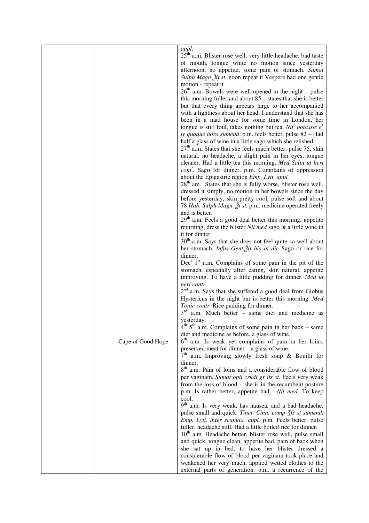|                   | appl.                                                                    |
|-------------------|--------------------------------------------------------------------------|
|                   | 25 <sup>th</sup> a.m. Blister rose well, very little headache, bad taste |
|                   | of mouth, tongue white no motion since yesterday                         |
|                   | afternoon, no appetite, some pain of stomach. Sumat                      |
|                   | Sulph Magn 2ij st. noon repeat it Vespere had one gentle                 |
|                   | motion - repeat it                                                       |
|                   | $26th$ a.m. Bowels were well opened in the night – pulse                 |
|                   | this morning fuller and about $85$ – states that she is better           |
|                   | but that every thing appears large to her accompanied                    |
|                   | with a lightness about her head. I understand that she has               |
|                   | been in a mad house for some time in London, her                         |
|                   | tongue is still foul, takes nothing but tea. Nit potassae $gr$           |
|                   | iv quaque hora sumend. p.m. feels better, pulse 82 - Had                 |
|                   | half a glass of wine in a little sago which she relished.                |
|                   | $27th$ a.m. States that she feels much better, pulse 75, skin            |
|                   | natural, no headache, a slight pain in her eyes, tongue                  |
|                   | cleaner. Had a little tea this morning. Med Salin ut heri                |
|                   | cont'. Sago for dinner. p.m. Complains of oppression                     |
|                   | about the Epigastric region Emp. Lytt. appl.                             |
|                   | 28 <sup>th</sup> am. States that she is fully worse, blister rose well,  |
|                   | dressed it simply, no motion in her bowels since the day                 |
|                   | before yesterday, skin pretty cool, pulse soft and about                 |
|                   | 78 Hab. Sulph Magn. Ži st. p.m. medicine operated freely                 |
|                   | and is better.                                                           |
|                   | $29th$ a.m. Feels a good deal better this morning, appetite              |
|                   | returning, dress the blister Nil med sago & a little wine in             |
|                   | it for dinner.                                                           |
|                   | 30 <sup>th</sup> a.m. Says that she does not feel quite so well about    |
|                   | her stomach. Infus Gent. Žij bis in die Sago or rice for                 |
|                   | dinner.                                                                  |
|                   | $Decr 1st$ a.m. Complains of some pain in the pit of the                 |
|                   | stomach, especially after eating, skin natural, appetite                 |
|                   | improving. To have a little pudding for dinner. Med ut                   |
|                   | heri contr.                                                              |
|                   | $2nd$ a.m. Says that she suffered a good deal from Globus                |
|                   | Hystericus in the night but is better this morning. Med                  |
|                   | Tonic contr. Rice pudding for dinner.                                    |
|                   | $3rd$ a.m. Much better – same diet and medicine as                       |
|                   | yesterday.                                                               |
|                   | $4th 5th$ a.m. Complains of some pain in her back – same                 |
|                   | diet and medicine as before, a glass of wine.                            |
| Cape of Good Hope | 6 <sup>th</sup> a.m. Is weak yet complains of pain in her loins,         |
|                   | preserved meat for dinner – a glass of wine.                             |
|                   | $7th$ a.m. Improving slowly fresh soup & Bouilli for<br>dinner.          |
|                   | 8 <sup>th</sup> a.m. Pain of loins and a considerable flow of blood      |
|                   | per vaginam. Sumat opii crudi gr ifs st. Feels very weak                 |
|                   | from the loss of blood $-$ she is in the recumbent posture               |
|                   | p.m. Is rather better, appetite bad. Nil med. To keep                    |
|                   | cool.                                                                    |
|                   | 9 <sup>th</sup> a,m. Is very weak, has nausea, and a bad headache,       |
|                   | pulse small and quick. Tinct. Cinn. comp 3fs st sumend.                  |
|                   | Emp. Lytt. inter scapula. appl. p.m. Feels better, pulse                 |
|                   | fuller, headache still. Had a little boiled rice for dinner.             |
|                   | $10th$ a.m. Headache better, blister rose well, pulse small              |
|                   | and quick, tongue clean, appetite bad, pain of back when                 |
|                   | she sat up in bed, to have her blister dressed a                         |
|                   | considerable flow of blood per vaginam took place and                    |
|                   | weakened her very much, applied wetted clothes to the                    |
|                   | external parts of generation. p.m. a recurrence of the                   |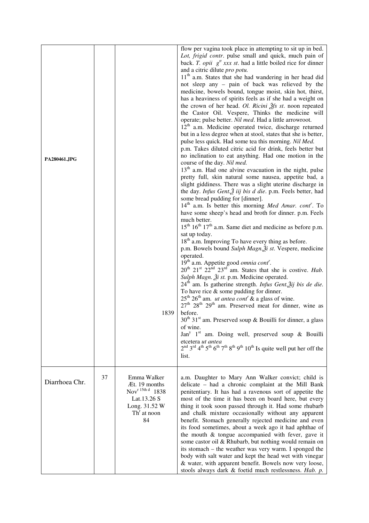| PA280461.JPG   |    | 1839                                                                                                                          | flow per vagina took place in attempting to sit up in bed.<br>Lot, frigid contr. pulse small and quick, much pain of<br>back. T. opii $g''$ xxx st. had a little boiled rice for dinner<br>and a citric dilute pro potu.<br>11 <sup>th</sup> a.m. States that she had wandering in her head did<br>not sleep any - pain of back was relieved by the<br>medicine, bowels bound, tongue moist, skin hot, thirst,<br>has a heaviness of spirits feels as if she had a weight on<br>the crown of her head. Ol. Ricini $\tilde{f}$ s st. noon repeated<br>the Castor Oil. Vespere, Thinks the medicine will<br>operate; pulse better. Nil med. Had a little arrowroot.<br>12 <sup>th</sup> a.m. Medicine operated twice, discharge returned<br>but in a less degree when at stool, states that she is better,<br>pulse less quick. Had some tea this morning. Nil Med.<br>p.m. Takes diluted citric acid for drink, feels better but<br>no inclination to eat anything. Had one motion in the<br>course of the day. Nil med.<br>$13th$ a.m. Had one alvine evacuation in the night, pulse<br>pretty full, skin natural some nausea, appetite bad, a<br>slight giddiness. There was a slight uterine discharge in<br>the day. Infus Gent. $\tilde{A}$ iij bis d die. p.m. Feels better, had<br>some bread pudding for [dinner].<br>14 <sup>th</sup> a.m. Is better this morning Med Amar. cont <sup>r</sup> . To<br>have some sheep's head and broth for dinner. p.m. Feels<br>much better.<br>$15th 16th 17th$ a.m. Same diet and medicine as before p.m.<br>sat up today.<br>18 <sup>th</sup> a.m. Improving To have every thing as before.<br>p.m. Bowels bound Sulph Magn. $\tilde{z}$ i st. Vespere, medicine<br>operated.<br>19 <sup>th</sup> a.m. Appetite good <i>omnia cont<sup>r</sup></i> .<br>20 <sup>th</sup> 21 <sup>st</sup> 22 <sup>nd</sup> 23 <sup>rd</sup> am. States that she is costive. <i>Hab</i> .<br>Sulph Magn. Ži st. p.m. Medicine operated.<br>24 <sup>th</sup> am. Is gatherine strength. Infus Gent. ij bis de die.<br>To have rice $\&$ some pudding for dinner.<br>$25th 26th$ am. <i>ut antea cont</i> <sup><i>'</i></sup> & a glass of wine.<br>$27th$ $28th$ $29th$ am. Preserved meat for dinner, wine as<br>before.<br>$30th 31st$ am. Preserved soup & Bouilli for dinner, a glass<br>of wine.<br>Jan <sup>y</sup> 1 <sup>st</sup> am. Doing well, preserved soup & Bouilli<br>etcetera ut antea<br>$2nd 3rd 4th 5th 6th 7th 8th 9th 10th 1s quite well put her off the$<br>list. |
|----------------|----|-------------------------------------------------------------------------------------------------------------------------------|--------------------------------------------------------------------------------------------------------------------------------------------------------------------------------------------------------------------------------------------------------------------------------------------------------------------------------------------------------------------------------------------------------------------------------------------------------------------------------------------------------------------------------------------------------------------------------------------------------------------------------------------------------------------------------------------------------------------------------------------------------------------------------------------------------------------------------------------------------------------------------------------------------------------------------------------------------------------------------------------------------------------------------------------------------------------------------------------------------------------------------------------------------------------------------------------------------------------------------------------------------------------------------------------------------------------------------------------------------------------------------------------------------------------------------------------------------------------------------------------------------------------------------------------------------------------------------------------------------------------------------------------------------------------------------------------------------------------------------------------------------------------------------------------------------------------------------------------------------------------------------------------------------------------------------------------------------------------------------------------------------------------------------------------------------------------------------------------------------------------------------------------------------------------------------------------------------------------------------------------------------------------------------------------------------------------------------------------------------------------------------------------------------------------------------------------------------------------------------------------------------------------|
| Diarrhoea Chr. | 37 | Emma Walker<br>Æt. 19 months<br>Nov <sup>r 15th d</sup> 1838<br>Lat.13.26 S<br>Long. 31.52 W<br>Th <sup>r</sup> at noon<br>84 | a.m. Daughter to Mary Ann Walker convict; child is<br>delicate - had a chronic complaint at the Mill Bank<br>penitentiary. It has had a ravenous sort of appetite the<br>most of the time it has been on board here, but every<br>thing it took soon passed through it. Had some rhubarb<br>and chalk mixture occasionally without any apparent<br>benefit. Stomach generally rejected medicine and even<br>its food sometimes, about a week ago it had aphthae of<br>the mouth & tongue accompanied with fever, gave it<br>some castor oil & Rhubarb, but nothing would remain on<br>its stomach – the weather was very warm. I sponged the<br>body with salt water and kept the head wet with vinegar<br>& water, with apparent benefit. Bowels now very loose,<br>stools always dark & foetid much restlessness. Hab. p.                                                                                                                                                                                                                                                                                                                                                                                                                                                                                                                                                                                                                                                                                                                                                                                                                                                                                                                                                                                                                                                                                                                                                                                                                                                                                                                                                                                                                                                                                                                                                                                                                                                                                        |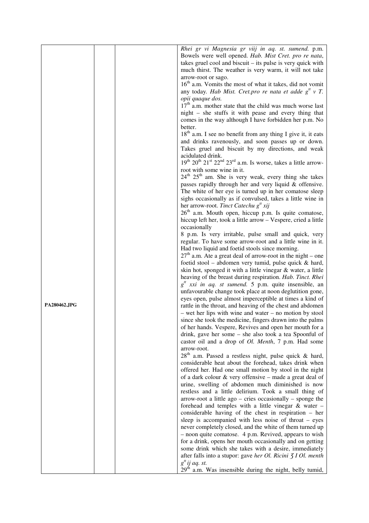|              |  | Rhei gr vi Magnesia gr viij in aq. st. sumend. p.m.                               |
|--------------|--|-----------------------------------------------------------------------------------|
|              |  | Bowels were well opened. Hab. Mist Cret. pro re nata,                             |
|              |  | takes gruel cool and biscuit $-$ its pulse is very quick with                     |
|              |  |                                                                                   |
|              |  | much thirst. The weather is very warm, it will not take                           |
|              |  | arrow-root or sago.                                                               |
|              |  | 16 <sup>th</sup> a.m. Vomits the most of what it takes, did not vomit             |
|              |  | any today. Hab Mist. Cret.pro re nata et adde $g^t$ v T.                          |
|              |  | opii quaque dos.                                                                  |
|              |  | $17th$ a.m. mother state that the child was much worse last                       |
|              |  | night – she stuffs it with pease and every thing that                             |
|              |  | comes in the way although I have forbidden her p.m. No                            |
|              |  | better.                                                                           |
|              |  | 18 <sup>th</sup> a.m. I see no benefit from any thing I give it, it eats          |
|              |  | and drinks ravenously, and soon passes up or down.                                |
|              |  | Takes gruel and biscuit by my directions, and weak                                |
|              |  | acidulated drink.                                                                 |
|              |  | $19th 20th 21st 22nd 23rd$ a.m. Is worse, takes a little arrow-                   |
|              |  | root with some wine in it.                                                        |
|              |  |                                                                                   |
|              |  | $24th 25th$ am. She is very weak, every thing she takes                           |
|              |  | passes rapidly through her and very liquid & offensive.                           |
|              |  | The white of her eye is turned up in her comatose sleep                           |
|              |  | sighs occasionally as if convulsed, takes a little wine in                        |
|              |  | her arrow-root. Tinct Catechu $g^t$ xij                                           |
|              |  | $26th$ a.m. Mouth open, hiccup p.m. Is quite comatose,                            |
|              |  | hiccup left her, took a little arrow - Vespere, cried a little                    |
|              |  | occasionally                                                                      |
|              |  | 8 p.m. Is very irritable, pulse small and quick, very                             |
|              |  | regular. To have some arrow-root and a little wine in it.                         |
|              |  | Had two liquid and foetid stools since morning.                                   |
|              |  | $27th$ a.m. Ate a great deal of arrow-root in the night – one                     |
|              |  | foetid stool – abdomen very tumid, pulse quick & hard,                            |
|              |  | skin hot, sponged it with a little vinegar & water, a little                      |
|              |  | heaving of the breast during respiration. Hab. Tinct. Rhei                        |
|              |  | $gtt xxi$ in aq. st sumend. 5 p.m. quite insensible, an                           |
|              |  | unfavourable change took place at noon deglutition gone,                          |
|              |  | eyes open, pulse almost imperceptible at times a kind of                          |
| PA280462.JPG |  | rattle in the throat, and heaving of the chest and abdomen                        |
|              |  | - wet her lips with wine and water - no motion by stool                           |
|              |  | since she took the medicine, fingers drawn into the palms                         |
|              |  | of her hands. Vespere, Revives and open her mouth for a                           |
|              |  | drink, gave her some – she also took a tea Spoonful of                            |
|              |  | castor oil and a drop of Ol. Menth, 7 p.m. Had some                               |
|              |  |                                                                                   |
|              |  | arrow-root.<br>28 <sup>th</sup> a.m. Passed a restless night, pulse quick & hard, |
|              |  | considerable heat about the forehead, takes drink when                            |
|              |  |                                                                                   |
|              |  | offered her. Had one small motion by stool in the night                           |
|              |  | of a dark colour & very offensive - made a great deal of                          |
|              |  | urine, swelling of abdomen much diminished is now                                 |
|              |  | restless and a little delirium. Took a small thing of                             |
|              |  | $arrow-root$ a little ago – cries occasionally – sponge the                       |
|              |  | forehead and temples with a little vinegar $\&$ water -                           |
|              |  | considerable having of the chest in respiration - her                             |
|              |  | sleep is accompanied with less noise of throat – eyes                             |
|              |  | never completely closed, and the white of them turned up                          |
|              |  | - noon quite comatose. 4 p.m. Revived, appears to wish                            |
|              |  | for a drink, opens her mouth occasionally and on getting                          |
|              |  | some drink which she takes with a desire, immediately                             |
|              |  | after falls into a stupor: gave her Ol. Ricini 3 I Ol. menth                      |
|              |  | $g^{tt}$ ij aq. st.                                                               |
|              |  | 29 <sup>th</sup> a.m. Was insensible during the night, belly tumid,               |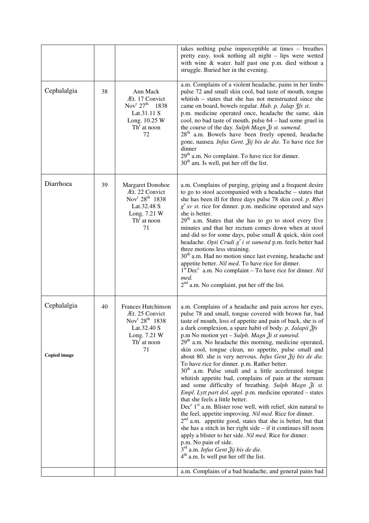|    |                                                                                                                                           | takes nothing pulse imperceptible at times - breathes<br>pretty easy, took nothing all night - lips were wetted<br>with wine & water. half past one p.m. died without a<br>struggle. Buried her in the evening.                                                                                                                                                                                                                                                                                                                                                                                                                                                                                                                                                                                                                                                                                                                                                                                                                                                                                                                                                                                                                                                                                                                                                        |
|----|-------------------------------------------------------------------------------------------------------------------------------------------|------------------------------------------------------------------------------------------------------------------------------------------------------------------------------------------------------------------------------------------------------------------------------------------------------------------------------------------------------------------------------------------------------------------------------------------------------------------------------------------------------------------------------------------------------------------------------------------------------------------------------------------------------------------------------------------------------------------------------------------------------------------------------------------------------------------------------------------------------------------------------------------------------------------------------------------------------------------------------------------------------------------------------------------------------------------------------------------------------------------------------------------------------------------------------------------------------------------------------------------------------------------------------------------------------------------------------------------------------------------------|
| 38 | Ann Mack<br>Æt. 17 Convict<br>Nov <sup>r</sup> $27^{th}$ 1838<br>Lat.31.11 S<br>Long. 10.25 W<br>$Thr$ at noon<br>72                      | a.m. Complains of a violent headache, pains in her limbs<br>pulse 72 and small skin cool, bad taste of mouth, tongue<br>whitish – states that she has not menstruated since she<br>came on board, bowels regular. Hab. p. Jalap 3fs st.<br>p.m. medicine operated once, headache the same, skin<br>cool, no bad taste of mouth, pulse 64 – had some gruel in<br>the course of the day. Sulph Magn $\tilde{\chi}$ i st. sumend.<br>28 <sup>th</sup> a.m. Bowels have been freely opened, headache<br>gone, nausea. Infus Gent. Žij bis de die. To have rice for<br>dinner<br>29 <sup>th</sup> a.m. No complaint. To have rice for dinner.<br>$30th$ am. Is well, put her off the list.                                                                                                                                                                                                                                                                                                                                                                                                                                                                                                                                                                                                                                                                                  |
| 39 | <b>Margaret Donohoe</b><br>Æt. 22 Convict<br>Nov <sup>r</sup> 28 <sup>th</sup> 1838<br>Lat.32.48 S<br>Long. 7.21 W<br>$Thr$ at noon<br>71 | a.m. Complains of purging, griping and a frequent desire<br>to go to stool accompanied with a headache - states that<br>she has been ill for three days pulse 78 skin cool. p. Rhei<br>$g^{r}$ xv st. rice for dinner. p.m. medicine operated and says<br>she is better.<br>29 <sup>th</sup> a.m. States that she has to go to stool every five<br>minutes and that her rectum comes down when at stool<br>and did so for some days, pulse small & quick, skin cool<br>headache. Opii Crudi g' i st sumend p.m. feels better had<br>three motions less straining.<br>30 <sup>th</sup> a.m. Had no motion since last evening, headache and<br>appetite better. Nil med. To have rice for dinner.<br>$1st Decr.$ a.m. No complaint – To have rice for dinner. Nil<br>med.<br>$2nd$ a.m. No complaint, put her off the list.                                                                                                                                                                                                                                                                                                                                                                                                                                                                                                                                              |
| 40 | Frances Hutchinson<br>Æt. 25 Convict<br>Nov <sup>r</sup> 28 <sup>th</sup> 1838<br>Lat.32.40 S<br>Long. 7.21 W<br>$Thr$ at noon<br>71      | a.m. Complains of a headache and pain across her eyes,<br>pulse 78 and small, tongue covered with brown fur, bad<br>taste of mouth, loss of appetite and pain of back, she is of<br>a dark complexion, a spare habit of body. p. Jalapii $\tilde{Z}$ fs<br>p.m No motion yet – Sulph. Magn Ži st sumend.<br>29 <sup>th</sup> a.m. No headache this morning, medicine operated,<br>skin cool, tongue clean, no appetite, pulse small and<br>about 80. she is very nervous. Infus Gent $\tilde{A}$ ij bis de die.<br>To have rice for dinner. p.m. Rather better.<br>30 <sup>th</sup> a.m. Pulse small and a little accelerated tongue<br>whitish appetite bad, complains of pain at the sternum<br>and some difficulty of breathing. Sulph Magn 2i st.<br>Empl. Lytt part dol. appl. p.m. medicine operated - states<br>that she feels a little better.<br>Dec <sup>r</sup> $1st$ a.m. Blister rose well, with relief, skin natural to<br>the feel, appetite improving. Nil med. Rice for dinner.<br>$2nd$ a.m. appetite good, states that she is better, but that<br>she has a stitch in her right side $-$ if it continues till noon<br>apply a blister to her side. Nil med. Rice for dinner.<br>p.m. No pain of side.<br>3rd a.m. Infus Gent Žij bis de die.<br>$4th$ a.m. Is well put her off the list.<br>a.m. Complains of a bad headache, and general pains bad |
|    |                                                                                                                                           |                                                                                                                                                                                                                                                                                                                                                                                                                                                                                                                                                                                                                                                                                                                                                                                                                                                                                                                                                                                                                                                                                                                                                                                                                                                                                                                                                                        |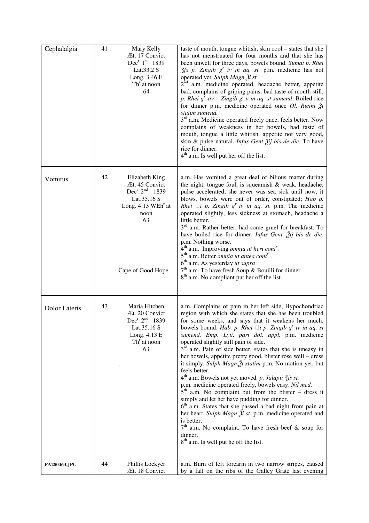| Cephalalgia   | 41 | Mary Kelly<br>Æt. 17 Convict<br>$Dec^r 1^{st} 1839$<br>Lat.33.2 S<br>Long. 3.46 E<br>Th <sup>r</sup> at noon<br>64                                       | taste of mouth, tongue whitish, skin cool – states that she<br>has not menstruated for four months and that she has<br>been unwell for three days, bowels bound. Sumat p. Rhei<br>$\int$ fs p. Zingib g' iv in aq. st. p.m. medicine has not<br>operated yet. Sulph Magn Ži st.<br>2 <sup>nd</sup> a.m. medicine operated, headache better, appetite<br>bad, complains of griping pains, bad taste of mouth still.<br>p. Rhei $g^r xiv - Zingib g^r v$ in aq. st sumend. Boiled rice<br>for dinner p.m. medicine operated once Ol. Ricini Ži<br>statim sumend.<br>3 <sup>rd</sup> a.m. Medicine operated freely once, feels better. Now<br>complains of weakness in her bowels, bad taste of<br>mouth, tongue a little whitish, appetite not very good,<br>skin & pulse natural. <i>Infus Gent <math>\tilde{A}</math>ij bis de die</i> . To have<br>rice for dinner.<br>$4th$ a.m. Is well put her off the list.                                                                                                                                                                    |
|---------------|----|----------------------------------------------------------------------------------------------------------------------------------------------------------|-------------------------------------------------------------------------------------------------------------------------------------------------------------------------------------------------------------------------------------------------------------------------------------------------------------------------------------------------------------------------------------------------------------------------------------------------------------------------------------------------------------------------------------------------------------------------------------------------------------------------------------------------------------------------------------------------------------------------------------------------------------------------------------------------------------------------------------------------------------------------------------------------------------------------------------------------------------------------------------------------------------------------------------------------------------------------------------|
| Vomitus       | 42 | Elizabeth King<br>Æt. 45 Convict<br>Dec <sup>r</sup> $2^{nd}$ 1839<br>Lat.35.16 S<br>Long. $4.13$ WEh <sup>r</sup> at<br>noon<br>63<br>Cape of Good Hope | a.m. Has vomited a great deal of bilious matter during<br>the night, tongue foul, is squeamish $\&$ weak, headache,<br>pulse accelerated, she never was sea sick until now, it<br>blows, bowels were out of order, constipated; Hab p.<br><i>Rhei</i> $\Box i$ <i>p. Zingib g' iv in aq. st.</i> p.m. The medicine<br>operated slightly, less sickness at stomach, headache a<br>little better.<br>3 <sup>rd</sup> a.m. Rather better, had some gruel for breakfast. To<br>have boiled rice for dinner. <i>Infus Gent</i> . $\tilde{A}$ <i>ij bis de die.</i><br>p.m. Nothing worse.<br>4 <sup>th</sup> a.m. Improving <i>omnia ut heri cont<sup>r</sup></i> .<br>$5th$ a.m. Better <i>omnia ut antea cont</i> <sup>r</sup><br>6 <sup>th</sup> a.m. As yesterday ut supra<br>$7th$ a.m. To have fresh Soup & Bouilli for dinner.<br>8 <sup>th</sup> a.m. No compliant put her off the list.                                                                                                                                                                                         |
| Dolor Lateris | 43 | Maria Hitchen<br>Æt. 20 Convict<br>Dec <sup>r</sup> $2^{nd}$ 1839<br>Lat.35.16 S<br>Long. 4.13 E<br>$Thr$ at noon<br>63                                  | a.m. Complains of pain in her left side, Hypochondriac<br>region with which she states that she has been troubled<br>for some weeks, and says that it weakens her much,<br>bowels bound. Hab. p. Rhei $\Box i$ p. Zingib g' iv in aq. st<br>sumend. Emp. Lytt. part dol. appl. p.m. medicine<br>operated slightly still pain of side.<br>3 <sup>rd</sup> a.m. Pain of side better, states that she is uneasy in<br>her bowels, appetite pretty good, blister rose well - dress<br>it simply. Sulph Magn. i statim p.m. No motion yet, but<br>feels better.<br>4 <sup>th</sup> a.m. Bowels not yet moved. p. Jalapii 3fs st.<br>p.m. medicine operated freely, bowels easy. Nil med.<br>$5th$ a.m. No complaint but from the blister – dress it<br>simply and let her have pudding for dinner.<br>6 <sup>th</sup> a.m. States that she passed a bad night from pain at<br>her heart. Sulph Magn $\tilde{z}$ i st. p.m. medicine operated and<br>is better.<br>$7th$ a.m. No complaint. To have fresh beef & soup for<br>dinner.<br>8 <sup>th</sup> a.m. Is well put he off the list. |
| PA280463.JPG  | 44 | Phillis Lockyer<br>Æt. 18 Convict                                                                                                                        | a.m. Burn of left forearm in two narrow stripes, caused<br>by a fall on the ribs of the Galley Grate last evening                                                                                                                                                                                                                                                                                                                                                                                                                                                                                                                                                                                                                                                                                                                                                                                                                                                                                                                                                                   |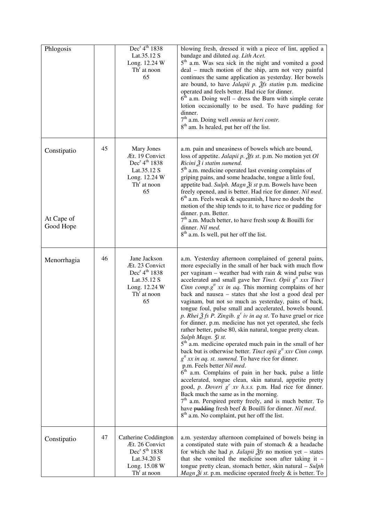| Phlogosis                              |    | Dec <sup>r</sup> 4 <sup>th</sup> 1838<br>Lat.35.12 S<br>Long. 12.24 W<br>$Thr$ at noon<br>65                                               | blowing fresh, dressed it with a piece of lint, applied a<br>bandage and diluted aq. Lith Acet.<br>$5th$ a.m. Was sea sick in the night and vomited a good<br>deal – much motion of the ship, arm not very painful<br>continues the same application as yesterday. Her bowels<br>are bound, to have <i>Jalapii p.</i> $\tilde{f}$ s <i>statim</i> p.m. medicine<br>operated and feels better. Had rice for dinner.<br>$6th$ a.m. Doing well – dress the Burn with simple cerate<br>lotion occasionally to be used. To have pudding for<br>dinner.<br>7 <sup>th</sup> a.m. Doing well <i>omnia ut heri contr</i> .<br>8 <sup>th</sup> am. Is healed, put her off the list.                                                                                                                                                                                                                                                                                                                                                                                                                                                                                                                                                                                                                                                                                                            |
|----------------------------------------|----|--------------------------------------------------------------------------------------------------------------------------------------------|--------------------------------------------------------------------------------------------------------------------------------------------------------------------------------------------------------------------------------------------------------------------------------------------------------------------------------------------------------------------------------------------------------------------------------------------------------------------------------------------------------------------------------------------------------------------------------------------------------------------------------------------------------------------------------------------------------------------------------------------------------------------------------------------------------------------------------------------------------------------------------------------------------------------------------------------------------------------------------------------------------------------------------------------------------------------------------------------------------------------------------------------------------------------------------------------------------------------------------------------------------------------------------------------------------------------------------------------------------------------------------------|
| Constipatio<br>At Cape of<br>Good Hope | 45 | Mary Jones<br>Æt. 19 Convict<br>Dec <sup>r</sup> 4 <sup>th</sup> 1838<br>Lat.35.12 S<br>Long. 12.24 W<br>Th <sup>r</sup> at noon<br>65     | a.m. pain and uneasiness of bowels which are bound,<br>loss of appetite. Jalapii p. $\tilde{g}$ fs st. p.m. No motion yet Ol<br>Ricini $\tilde{Z}$ i statim sumend.<br>5 <sup>th</sup> a.m. medicine operated last evening complains of<br>griping pains, and some headache, tongue a little foul,<br>appetite bad. Sulph. Magn $\tilde{A}$ i st p.m. Bowels have been<br>freely opened, and is better. Had rice for dinner. Nil med.<br>$6th$ a.m. Feels weak & squeamish, I have no doubt the<br>motion of the ship tends to it, to have rice or pudding for<br>dinner. p.m. Better.<br>$7th$ a.m. Much better, to have fresh soup & Bouilli for<br>dinner. Nil med.<br>8 <sup>th</sup> a.m. Is well, put her off the list.                                                                                                                                                                                                                                                                                                                                                                                                                                                                                                                                                                                                                                                        |
| Menorrhagia                            | 46 | Jane Jackson<br>Æt. 23 Convict<br>Dec <sup>r</sup> 4 <sup>th</sup> 1838<br>Lat.35.12 S<br>Long. 12.24 W<br>$Thr$ at noon<br>65             | a.m. Yesterday afternoon complained of general pains,<br>more especially in the small of her back with much flow<br>per vaginam – weather bad with rain $&$ wind pulse was<br>accelerated and small gave her Tinct. Opii $g^{tt}$ xxx Tinct<br><i>Cinn comp.g<sup>tt</sup> xx in aq.</i> This morning complains of her<br>back and nausea - states that she lost a good deal per<br>vaginam, but not so much as yesterday, pains of back,<br>tongue foul, pulse small and accelerated, bowels bound.<br>p. Rhei $\tilde{Z}$ fs P. Zingib. $g^r$ iv in aq st. To have gruel or rice<br>for dinner. p.m. medicine has not yet operated, she feels<br>rather better, pulse 80, skin natural, tongue pretty clean.<br>Sulph Magn. 3i st.<br>$5th$ a.m. medicine operated much pain in the small of her<br>back but is otherwise better. Tinct opii $g^{tt}$ xxv Cinn comp.<br>$gtt xx$ in aq. st. sumend. To have rice for dinner.<br>p.m. Feels better Nil med.<br>$\bar{6}^{th}$ a.m. Complains of pain in her back, pulse a little<br>accelerated, tongue clean, skin natural, appetite pretty<br>good, p. Doveri g' xv h.s.s. p.m. Had rice for dinner.<br>Back much the same as in the morning.<br>$7th$ a.m. Perspired pretty freely, and is much better. To<br>have pudding fresh beef & Bouilli for dinner. Nil med.<br>8 <sup>th</sup> a.m. No complaint, put her off the list. |
| Constipatio                            | 47 | Catherine Coddington<br>Æt. 26 Convict<br>Dec <sup>r</sup> 5 <sup>th</sup> 1838<br>Lat.34.20 S<br>Long. 15.08 W<br>Th <sup>r</sup> at noon | a.m. yesterday afternoon complained of bowels being in<br>a constipated state with pain of stomach $\&$ a headache<br>for which she had p. Jalapii $\tilde{Z}$ fs no motion yet – states<br>that she vomited the medicine soon after taking it -<br>tongue pretty clean, stomach better, skin natural - Sulph<br><i>Magn <math>\tilde{A}</math>i st.</i> p.m. medicine operated freely & is better. To                                                                                                                                                                                                                                                                                                                                                                                                                                                                                                                                                                                                                                                                                                                                                                                                                                                                                                                                                                               |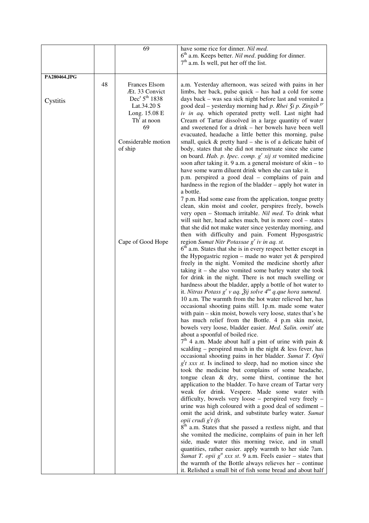|              |    | 69                                                                       | have some rice for dinner. Nil med.                                                                                                                                                                                                                       |
|--------------|----|--------------------------------------------------------------------------|-----------------------------------------------------------------------------------------------------------------------------------------------------------------------------------------------------------------------------------------------------------|
|              |    |                                                                          | 6 <sup>th</sup> a.m. Keeps better. Nil med. pudding for dinner.                                                                                                                                                                                           |
|              |    |                                                                          | $7th$ a.m. Is well, put her off the list.                                                                                                                                                                                                                 |
| PA280464.JPG |    |                                                                          |                                                                                                                                                                                                                                                           |
|              | 48 | Frances Elsom<br>Æt. 33 Convict<br>Dec <sup>r</sup> 5 <sup>th</sup> 1838 | a.m. Yesterday afternoon, was seized with pains in her<br>limbs, her back, pulse quick – has had a cold for some                                                                                                                                          |
| Cystitis     |    | Lat.34.20 S<br>Long. 15.08 E<br>$Thr$ at noon                            | days back – was sea sick night before last and vomited a<br>good deal – yesterday morning had p. Rhei $\zeta i$ p. Zingib <sup>gr</sup><br>iv in aq. which operated pretty well. Last night had<br>Cream of Tartar dissolved in a large quantity of water |
|              |    | 69                                                                       | and sweetened for a drink – her bowels have been well<br>evacuated, headache a little better this morning, pulse                                                                                                                                          |
|              |    | Considerable motion<br>of ship                                           | small, quick $&$ pretty hard – she is of a delicate habit of<br>body, states that she did not menstruate since she came                                                                                                                                   |
|              |    |                                                                          | on board. Hab. p. Ipec. comp. $g^{r}$ xij st vomited medicine<br>soon after taking it. 9 a.m. a general moisture of skin – to<br>have some warm diluent drink when she can take it.<br>p.m. perspired a good deal - complains of pain and                 |
|              |    |                                                                          | hardness in the region of the bladder – apply hot water in<br>a bottle.                                                                                                                                                                                   |
|              |    |                                                                          | 7 p.m. Had some ease from the application, tongue pretty<br>clean, skin moist and cooler, perspires freely, bowels                                                                                                                                        |
|              |    |                                                                          | very open - Stomach irritable. Nil med. To drink what<br>will suit her, head aches much, but is more cool - states<br>that she did not make water since yesterday morning, and                                                                            |
|              |    | Cape of Good Hope                                                        | then with difficulty and pain. Foment Hyposgastric<br>region Sumat Nitr Potassae $g^r$ iv in aq. st.                                                                                                                                                      |
|              |    |                                                                          | $6th$ a.m. States that she is in every respect better except in<br>the Hypogastric region – made no water yet $\&$ perspired                                                                                                                              |
|              |    |                                                                          | freely in the night. Vomited the medicine shortly after<br>taking it $-$ she also vomited some barley water she took<br>for drink in the night. There is not much swelling or                                                                             |
|              |    |                                                                          | hardness about the bladder, apply a bottle of hot water to<br>it. Nitras Potass $g^r v$ aq. $\tilde{g}$ ij solve $4^{ta}$ q.que hora sumend.                                                                                                              |
|              |    |                                                                          | 10 a.m. The warmth from the hot water relieved her, has<br>occasional shooting pains still. 1p.m. made some water<br>with pain – skin moist, bowels very loose, states that's he                                                                          |
|              |    |                                                                          | has much relief from the Bottle. 4 p.m skin moist,<br>bowels very loose, bladder easier. Med. Salin. omitt' ate                                                                                                                                           |
|              |    |                                                                          | about a spoonful of boiled rice.<br>$7th$ 4 a.m. Made about half a pint of urine with pain &                                                                                                                                                              |
|              |    |                                                                          | scalding – perspired much in the night $\&$ less fever, has<br>occasional shooting pains in her bladder. Sumat T. Opii<br>$gt$ xxx st. Is inclined to sleep, had no motion since she                                                                      |
|              |    |                                                                          | took the medicine but complains of some headache,<br>tongue clean $\&$ dry, some thirst, continue the hot                                                                                                                                                 |
|              |    |                                                                          | application to the bladder. To have cream of Tartar very<br>weak for drink. Vespere. Made some water with                                                                                                                                                 |
|              |    |                                                                          | difficulty, bowels very loose – perspired very freely –<br>urine was high coloured with a good deal of sediment -<br>omit the acid drink, and substitute barley water. Sumat                                                                              |
|              |    |                                                                          | <i>opii crudi</i> g <sup><i>t</i></sup> <i>ifs</i><br>8 <sup>th</sup> a.m. States that she passed a restless night, and that                                                                                                                              |
|              |    |                                                                          | she vomited the medicine, complains of pain in her left<br>side, made water this morning twice, and in small                                                                                                                                              |
|              |    |                                                                          | quantities, rather easier. apply warmth to her side 7am.<br>Sumat T. opii $g''$ xxx st. 9 a.m. Feels easier – states that                                                                                                                                 |
|              |    |                                                                          | the warmth of the Bottle always relieves her - continue<br>it. Relished a small bit of fish some bread and about half                                                                                                                                     |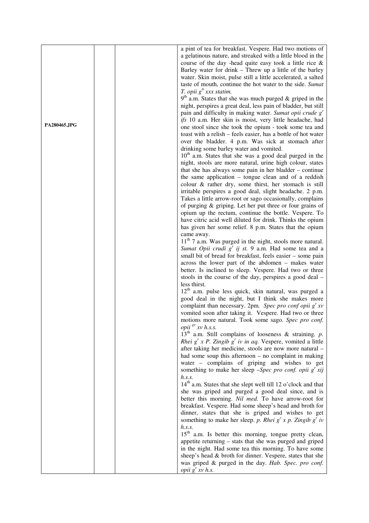|              | a pint of tea for breakfast. Vespere. Had two motions of                              |
|--------------|---------------------------------------------------------------------------------------|
|              |                                                                                       |
|              | a gelatinous nature, and streaked with a little blood in the                          |
|              | course of the day -head quite easy took a little rice $\&$                            |
|              | Barley water for drink – Threw up a little of the barley                              |
|              | water. Skin moist, pulse still a little accelerated, a salted                         |
|              | taste of mouth, continue the hot water to the side. Sumat                             |
|              | T. opii $g^t$ xxx statim.                                                             |
|              | $9th$ a.m. States that she was much purged & griped in the                            |
|              | night, perspires a great deal, less pain of bladder, but still                        |
|              | pain and difficulty in making water. Sumat opii crude $gr$                            |
|              | ifs 10 a.m. Her skin is moist, very little headache, had                              |
| PA280465.JPG | one stool since she took the opium - took some tea and                                |
|              |                                                                                       |
|              | toast with a relish – feels easier, has a bottle of hot water                         |
|              | over the bladder. 4 p.m. Was sick at stomach after                                    |
|              | drinking some barley water and vomited.                                               |
|              | $10th$ a.m. States that she was a good deal purged in the                             |
|              | night, stools are more natural, urine high colour, states                             |
|              | that she has always some pain in her bladder $-$ continue                             |
|              | the same application - tongue clean and of a reddish                                  |
|              | colour & rather dry, some thirst, her stomach is still                                |
|              | irritable perspires a good deal, slight headache. 2 p.m.                              |
|              | Takes a little arrow-root or sago occasionally, complains                             |
|              | of purging & griping. Let her put three or four grains of                             |
|              |                                                                                       |
|              | opium up the rectum, continue the bottle. Vespere. To                                 |
|              | have citric acid well diluted for drink. Thinks the opium                             |
|              | has given her some relief. 8 p.m. States that the opium                               |
|              | came away.                                                                            |
|              | $11th$ 7 a.m. Was purged in the night, stools more natural.                           |
|              | Sumat Opii crudi $g^r$ ij st. 9 a.m. Had some tea and a                               |
|              | small bit of bread for breakfast, feels easier - some pain                            |
|              | across the lower part of the abdomen - makes water                                    |
|              | better. Is inclined to sleep. Vespere. Had two or three                               |
|              | stools in the course of the day, perspires a good deal -                              |
|              | less thirst.                                                                          |
|              | 12 <sup>th</sup> a.m. pulse less quick, skin natural, was purged a                    |
|              |                                                                                       |
|              | good deal in the night, but I think she makes more                                    |
|              | complaint than necessary. 2pm. Spec pro conf opii $g^r xv$                            |
|              | vomited soon after taking it. Vespere. Had two or three                               |
|              | motions more natural. Took some sago. Spec pro conf.                                  |
|              | opii $s^r$ xv h.s.s.                                                                  |
|              | $13th$ a.m. Still complains of looseness & straining. p.                              |
|              | <i>Rhei</i> $g^r x$ <i>P. Zingib</i> $g^r iv$ <i>in aq.</i> Vespere, vomited a little |
|              | after taking her medicine, stools are now more natural -                              |
|              | had some soup this afternoon $-$ no complaint in making                               |
|              | water - complains of griping and wishes to get                                        |
|              | something to make her sleep -Spec pro conf. opii $g^{r}$ xij                          |
|              | h.s.s.                                                                                |
|              | $14th$ a.m. States that she slept well till 12 o'clock and that                       |
|              |                                                                                       |
|              | she was griped and purged a good deal since, and is                                   |
|              | better this morning. Nil med. To have arrow-root for                                  |
|              | breakfast. Vespere. Had some sheep's head and broth for                               |
|              | dinner, states that she is griped and wishes to get                                   |
|              | something to make her sleep. p. Rhei $g^{r}$ x p. Zingib $g^{r}$ iv                   |
|              | h.s.s.                                                                                |
|              | 15 <sup>th</sup> a.m. Is better this morning, tongue pretty clean,                    |
|              | appetite returning - stats that she was purged and griped                             |
|              | in the night. Had some tea this morning. To have some                                 |
|              | sheep's head & broth for dinner. Vespere, states that she                             |
|              | was griped & purged in the day. Hab. Spec. pro conf.                                  |
|              | opii $g^r xv$ h.s.                                                                    |
|              |                                                                                       |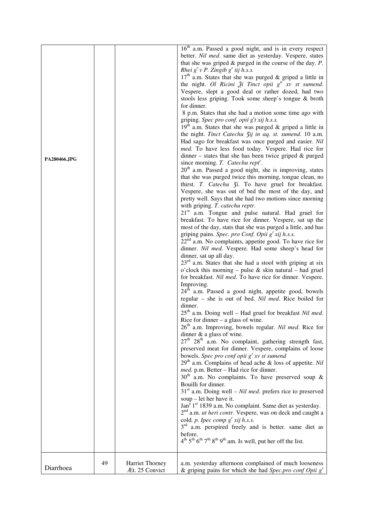| PA280466.JPG |    |                                          | $16th$ a.m. Passed a good night, and is in every respect<br>better. Nil med. same diet as yesterday. Vespere, states<br>that she was griped $\&$ purged in the course of the day. $P$ .<br>Rhei $g'v$ P. Zingib $g'$ iij h.s.s.<br>$17th$ a.m. States that she was purged & griped a little in<br>the night. Ol Ricini $\tilde{\mathcal{X}}$ i Tinct opii $g^t$ xv st sumend.<br>Vespere, slept a good deal or rather dozed, had two<br>stools less griping. Took some sheep's tongue & broth<br>for dinner.<br>8 p.m. States that she had a motion some time ago with<br>griping. Spec pro conf. opii $gt t$ xij h.s.s.<br>$19th$ a.m. States that she was purged & griped a little in<br>the night. Tinct Catechu Zij in aq. st. sumend. 10 a.m.<br>Had sago for breakfast was once purged and easier. Nil<br>med. To have less food today. Vespere. Had rice for<br>$d$ inner – states that she has been twice griped & purged<br>since morning. T. Catechu rept'.<br>$20th$ a.m. Passed a good night, she is improving, states<br>that she was purged twice this morning, tongue clean, no<br>thirst. T. Catechu 3i. To have gruel for breakfast.<br>Vespere, she was out of bed the most of the day, and<br>pretty well. Says that she had two motions since morning<br>with griping. T. catechu reptr.<br>$21st$ a.m. Tongue and pulse natural. Had gruel for<br>breakfast. To have rice for dinner. Vespere, sat up the<br>most of the day, stats that she was purged a little, and has<br>griping pains. Spec. pro Conf. Opii g' xij h.s.s.<br>$22nd$ a.m. No complaints, appetite good. To have rice for<br>dinner. Nil med. Vespere. Had some sheep's head for<br>dinner, sat up all day.<br>$23rd$ a.m. States that she had a stool with griping at six<br>o'clock this morning – pulse $&$ skin natural – had gruel<br>for breakfast. Nil med. To have rice for dinner. Vespere.<br>Improving.<br>24 <sup>th</sup> a.m. Passed a good night, appetite good, bowels<br>regular - she is out of bed. Nil med. Rice boiled for<br>dinner.<br>25 <sup>th</sup> a.m. Doing well - Had gruel for breakfast Nil med.<br>Rice for dinner $-$ a glass of wine.<br>26 <sup>th</sup> a.m. Improving, bowels regular. Nil med. Rice for<br>dinner & a glass of wine.<br>27 <sup>th</sup> 28 <sup>th</sup> a.m. No complaint, gathering strength fast,<br>preserved meat for dinner. Vespere, complains of loose<br>bowels. Spec pro conf opii $g^{r}$ xv st sumend<br>29 <sup>th</sup> a.m. Complains of head ache & loss of appetite. Nil<br>med. p.m. Better - Had rice for dinner.<br>$30th$ a.m. No complaints. To have preserved soup &<br>Bouilli for dinner.<br>$31st$ a.m. Doing well – Nil med. prefers rice to preserved<br>soup $-$ let her have it.<br>Jan <sup>y 1st</sup> 1839 a.m. No complaint. Same diet as yesterday.<br>$2nd$ a.m. <i>ut heri contr</i> . Vespere, was on deck and caught a<br>cold. p. Ipec comp $g^r$ xij h.s.s.<br>3 <sup>rd</sup> a.m. perspired freely and is better. same diet as<br>before.<br>$4^{\text{th}}$ 5 <sup>th</sup> 6 <sup>th</sup> 7 <sup>th</sup> 8 <sup>th</sup> 9 <sup>th</sup> am. Is well, put her off the list. |
|--------------|----|------------------------------------------|-----------------------------------------------------------------------------------------------------------------------------------------------------------------------------------------------------------------------------------------------------------------------------------------------------------------------------------------------------------------------------------------------------------------------------------------------------------------------------------------------------------------------------------------------------------------------------------------------------------------------------------------------------------------------------------------------------------------------------------------------------------------------------------------------------------------------------------------------------------------------------------------------------------------------------------------------------------------------------------------------------------------------------------------------------------------------------------------------------------------------------------------------------------------------------------------------------------------------------------------------------------------------------------------------------------------------------------------------------------------------------------------------------------------------------------------------------------------------------------------------------------------------------------------------------------------------------------------------------------------------------------------------------------------------------------------------------------------------------------------------------------------------------------------------------------------------------------------------------------------------------------------------------------------------------------------------------------------------------------------------------------------------------------------------------------------------------------------------------------------------------------------------------------------------------------------------------------------------------------------------------------------------------------------------------------------------------------------------------------------------------------------------------------------------------------------------------------------------------------------------------------------------------------------------------------------------------------------------------------------------------------------------------------------------------------------------------------------------------------------------------------------------------------------------------------------------------------------------------------------------------------------------------------------------------------------------------------------------------------------------------------------------------------------------------------------------------------------------------------------------------------------------------------------------------|
| Diarrhoea    | 49 | <b>Harriet Thorney</b><br>Æt. 25 Convict | a.m. yesterday afternoon complained of much looseness<br>& griping pains for which she had Spec.pro conf Opii $gr$                                                                                                                                                                                                                                                                                                                                                                                                                                                                                                                                                                                                                                                                                                                                                                                                                                                                                                                                                                                                                                                                                                                                                                                                                                                                                                                                                                                                                                                                                                                                                                                                                                                                                                                                                                                                                                                                                                                                                                                                                                                                                                                                                                                                                                                                                                                                                                                                                                                                                                                                                                                                                                                                                                                                                                                                                                                                                                                                                                                                                                                          |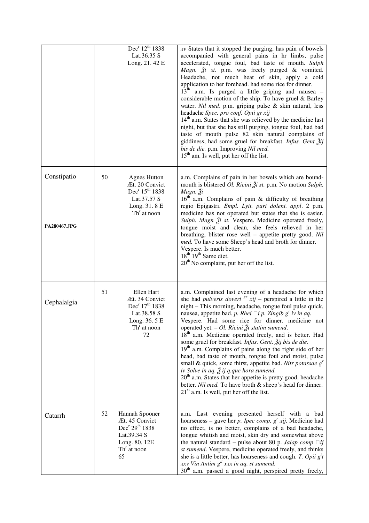|                             |    | Dec <sup>r</sup> 12 <sup>th</sup> 1838<br>Lat.36.35 S<br>Long. 21. 42 E                                                                 | $xv$ States that it stopped the purging, has pain of bowels<br>accompanied with general pains in hr limbs, pulse<br>accelerated, tongue foul, bad taste of mouth. Sulph<br><i>Magn.</i> $\tilde{A}$ <i>i</i> st. p.m. was freely purged & vomited.<br>Headache, not much heat of skin, apply a cold<br>application to her forehead. had some rice for dinner.<br>$13th$ a.m. Is purged a little griping and nausea –<br>considerable motion of the ship. To have gruel & Barley<br>water. Nil med. p.m. griping pulse & skin natural, less<br>headache Spec. pro conf. Opii gr xij<br>$14th$ a.m. States that she was relieved by the medicine last<br>night, but that she has still purging, tongue foul, had bad<br>taste of mouth pulse 82 skin natural complains of<br>giddiness, had some gruel for breakfast. Infus. Gent Žij<br>bis de die. p.m. Improving Nil med.<br>$15th$ am. Is well, put her off the list.            |
|-----------------------------|----|-----------------------------------------------------------------------------------------------------------------------------------------|------------------------------------------------------------------------------------------------------------------------------------------------------------------------------------------------------------------------------------------------------------------------------------------------------------------------------------------------------------------------------------------------------------------------------------------------------------------------------------------------------------------------------------------------------------------------------------------------------------------------------------------------------------------------------------------------------------------------------------------------------------------------------------------------------------------------------------------------------------------------------------------------------------------------------------|
| Constipatio<br>PA280467.JPG | 50 | <b>Agnes Hutton</b><br>Æt. 20 Convict<br>Dec <sup>r</sup> 15 <sup>th</sup> 1838<br>Lat.37.57 S<br>Long. 31. 8 E<br>$Thr$ at noon        | a.m. Complains of pain in her bowels which are bound-<br>mouth is blistered <i>Ol. Ricini</i> $\tilde{A}$ <i>i st.</i> p.m. No motion <i>Sulph</i> .<br>Magn. Ži<br>16 <sup>th</sup> a.m. Complains of pain & difficulty of breathing<br>regio Epigastri. Empl. Lytt. part dolent. appl. 2 p.m.<br>medicine has not operated but states that she is easier.<br>Sulph. Magn 2i st. Vespere. Medicine operated freely,<br>tongue moist and clean, she feels relieved in her<br>breathing, blister rose well - appetite pretty good. Nil<br>med. To have some Sheep's head and broth for dinner.<br>Vespere. Is much better.<br>$18th 19th$ Same diet.<br>$20th$ No complaint, put her off the list.                                                                                                                                                                                                                                  |
| Cephalalgia                 | 51 | Ellen Hart<br>Æt. 34 Convict<br>Dec <sup>r</sup> 17 <sup>th</sup> 1838<br>Lat.38.58 S<br>Long. 36. 5 E<br>Th <sup>r</sup> at noon<br>72 | a.m. Complained last evening of a headache for which<br>she had <i>pulveris doveri</i> $s^r$ xij – perspired a little in the<br>night - This morning, headache, tongue foul pulse quick,<br>nausea, appetite bad. p. Rhei $\Box i$ p. Zingib g' iv in aq.<br>Vespere. Had some rice for dinner, medicine not<br>operated yet. $-$ Ol. Ricini $\tilde{A}$ i statim sumend.<br>18 <sup>th</sup> a.m. Medicine operated freely, and is better. Had<br>some gruel for breakfast. Infus. Gent. Žij bis de die.<br>$19th$ a.m. Complains of pains along the right side of her<br>head, bad taste of mouth, tongue foul and moist, pulse<br>small & quick, some thirst, appetite bad. Nitr potassae $gr$<br>iv Solve in aq. $\tilde{A}$ ij q.que hora sumend.<br>$20th$ a.m. States that her appetite is pretty good, headache<br>better. Nil med. To have broth & sheep's head for dinner.<br>$21st$ a.m. Is well, put her off the list. |
| Catarrh                     | 52 | Hannah Spooner<br>Æt. 45 Convict<br>Dec <sup>r</sup> 29 <sup>th</sup> 1838<br>Lat.39.34 S<br>Long. 80. 12E<br>$Thr$ at noon<br>65       | a.m. Last evening presented herself with a bad<br>hoarseness – gave her p. Ipec comp. $g^{r} x i j$ . Medicine had<br>no effect, is no better, complains of a bad headache,<br>tongue whitish and moist, skin dry and somewhat above<br>the natural standard – pulse about 80 p. Jalap comp $\Box ij$<br><i>st sumend</i> . Vespere, medicine operated freely, and thinks<br>she is a little better, has hoarseness and cough. T. Opii $gtt$<br>xxv Vin Antim $g^t$ xxx in aq. st sumend.<br>$30th$ a.m. passed a good night, perspired pretty freely,                                                                                                                                                                                                                                                                                                                                                                             |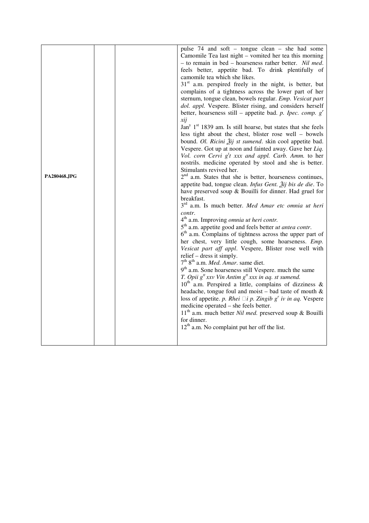| camomile tea which she likes.<br>xij<br>Stimulants revived her.<br>PA280468.JPG<br>breakfast.<br>contr.<br>4 <sup>th</sup> a.m. Improving <i>omnia ut heri contr</i> .<br>5 <sup>th</sup> a.m. appetite good and feels better <i>ut antea contr</i> .<br>relief – dress it simply.<br>7 <sup>th</sup> 8 <sup>th</sup> a.m. Med. Amar. same diet.<br>9 <sup>th</sup> a.m. Sone hoarseness still Vespere. much the same<br>T. Opii $g^t x x v$ Vin Antim $g^t x x x$ in aq. st sumend.<br>medicine operated – she feels better.<br>for dinner.<br>$12^{th}$ a.m. No complaint put her off the list. |  |  | pulse 74 and soft - tongue clean - she had some<br>Camomile Tea last night – vomited her tea this morning<br>- to remain in bed - hoarseness rather better. Nil med.<br>feels better, appetite bad. To drink plentifully of<br>$31st$ a.m. perspired freely in the night, is better, but<br>complains of a tightness across the lower part of her<br>sternum, tongue clean, bowels regular. Emp. Vesicat part<br>dol. appl. Vespere. Blister rising, and considers herself<br>better, hoarseness still – appetite bad. p. Ipec. comp. $g^{r}$<br>Jan <sup>y</sup> 1 <sup>st</sup> 1839 am. Is still hoarse, but states that she feels<br>less tight about the chest, blister rose well - bowels<br>bound. Ol. Ricini Žij st sumend. skin cool appetite bad.<br>Vespere. Got up at noon and fainted away. Gave her Liq.<br>Vol. corn Cervi $gtt$ xxx and appl. Carb. Amm. to her<br>nostrils. medicine operated by stool and she is better.<br>$2nd$ a.m. States that she is better, hoarseness continues,<br>appetite bad, tongue clean. Infus Gent. Žij bis de die. To<br>have preserved soup & Bouilli for dinner. Had gruel for<br>3 <sup>rd</sup> a.m. Is much better. Med Amar etc omnia ut heri<br>6 <sup>th</sup> a.m. Complains of tightness across the upper part of<br>her chest, very little cough, some hoarseness. Emp.<br>Vesicat part aff appl. Vespere, Blister rose well with<br>$10^{th}$ a.m. Perspired a little, complains of dizziness &<br>headache, tongue foul and moist – bad taste of mouth $\&$<br>loss of appetite. p. Rhei $\Box i$ p. Zingib g' iv in aq. Vespere<br>11 <sup>th</sup> a.m. much better <i>Nil med</i> . preserved soup & Bouilli |
|---------------------------------------------------------------------------------------------------------------------------------------------------------------------------------------------------------------------------------------------------------------------------------------------------------------------------------------------------------------------------------------------------------------------------------------------------------------------------------------------------------------------------------------------------------------------------------------------------|--|--|--------------------------------------------------------------------------------------------------------------------------------------------------------------------------------------------------------------------------------------------------------------------------------------------------------------------------------------------------------------------------------------------------------------------------------------------------------------------------------------------------------------------------------------------------------------------------------------------------------------------------------------------------------------------------------------------------------------------------------------------------------------------------------------------------------------------------------------------------------------------------------------------------------------------------------------------------------------------------------------------------------------------------------------------------------------------------------------------------------------------------------------------------------------------------------------------------------------------------------------------------------------------------------------------------------------------------------------------------------------------------------------------------------------------------------------------------------------------------------------------------------------------------------------------------------------------------------------------------------------------------------------------------------------------------------|
|---------------------------------------------------------------------------------------------------------------------------------------------------------------------------------------------------------------------------------------------------------------------------------------------------------------------------------------------------------------------------------------------------------------------------------------------------------------------------------------------------------------------------------------------------------------------------------------------------|--|--|--------------------------------------------------------------------------------------------------------------------------------------------------------------------------------------------------------------------------------------------------------------------------------------------------------------------------------------------------------------------------------------------------------------------------------------------------------------------------------------------------------------------------------------------------------------------------------------------------------------------------------------------------------------------------------------------------------------------------------------------------------------------------------------------------------------------------------------------------------------------------------------------------------------------------------------------------------------------------------------------------------------------------------------------------------------------------------------------------------------------------------------------------------------------------------------------------------------------------------------------------------------------------------------------------------------------------------------------------------------------------------------------------------------------------------------------------------------------------------------------------------------------------------------------------------------------------------------------------------------------------------------------------------------------------------|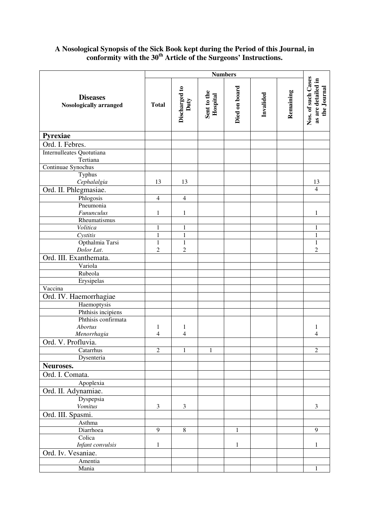## **A Nosological Synopsis of the Sick Book kept during the Period of this Journal, in conformity with the 30th Article of the Surgeons' Instructions.**

|                                                  | <b>Numbers</b> |                       |                         |               |           |           |                                                         |
|--------------------------------------------------|----------------|-----------------------|-------------------------|---------------|-----------|-----------|---------------------------------------------------------|
| <b>Diseases</b><br><b>Nosologically arranged</b> | <b>Total</b>   | Discharged to<br>Duty | Sent to the<br>Hospital | Died on board | Invalided | Remaining | Nos. of such Cases<br>as are detailed in<br>the Journal |
| Pyrexiae                                         |                |                       |                         |               |           |           |                                                         |
| Ord. I. Febres.                                  |                |                       |                         |               |           |           |                                                         |
| Internulleates Quotutiana<br>Tertiana            |                |                       |                         |               |           |           |                                                         |
| Continuae Synochus                               |                |                       |                         |               |           |           |                                                         |
| Typhus                                           |                |                       |                         |               |           |           |                                                         |
| Cephalalgia                                      | 13             | 13                    |                         |               |           |           | 13                                                      |
| Ord. II. Phlegmasiae.                            |                |                       |                         |               |           |           | $\overline{4}$                                          |
| Phlogosis                                        | $\overline{4}$ | $\overline{4}$        |                         |               |           |           |                                                         |
| Pneumonia                                        |                |                       |                         |               |           |           |                                                         |
| Fununculus                                       | 1              | $\mathbf{1}$          |                         |               |           |           | 1                                                       |
| Rheumatismus                                     |                |                       |                         |               |           |           |                                                         |
| Volitica                                         | 1              | $\mathbf{1}$          |                         |               |           |           | 1                                                       |
| Cystitis                                         | $\mathbf{1}$   | $\mathbf{1}$          |                         |               |           |           | $\mathbf{1}$                                            |
| Opthalmia Tarsi                                  | $\mathbf{1}$   | $\mathbf{1}$          |                         |               |           |           | $\mathbf{1}$                                            |
| Dolor Lat.                                       | $\overline{c}$ | $\overline{c}$        |                         |               |           |           | $\overline{2}$                                          |
| Ord. III. Exanthemata.                           |                |                       |                         |               |           |           |                                                         |
| Variola                                          |                |                       |                         |               |           |           |                                                         |
| Rubeola                                          |                |                       |                         |               |           |           |                                                         |
| Erysipelas                                       |                |                       |                         |               |           |           |                                                         |
| Vaccina                                          |                |                       |                         |               |           |           |                                                         |
| Ord. IV. Haemorrhagiae                           |                |                       |                         |               |           |           |                                                         |
| Haemoptysis                                      |                |                       |                         |               |           |           |                                                         |
| Phthisis incipiens                               |                |                       |                         |               |           |           |                                                         |
| Phthisis confirmata                              |                |                       |                         |               |           |           |                                                         |
| <b>Abortus</b>                                   | 1              | $\mathbf{1}$          |                         |               |           |           | 1                                                       |
| Menorrhagia                                      | 4              | 4                     |                         |               |           |           | 4                                                       |
| Ord. V. Profluvia.                               |                |                       |                         |               |           |           |                                                         |
| Catarrhus                                        | $\mathfrak{2}$ | $\,1$                 | $\mathbf{1}$            |               |           |           | $\mathfrak{2}$                                          |
| Dysenteria                                       |                |                       |                         |               |           |           |                                                         |
| Neuroses.                                        |                |                       |                         |               |           |           |                                                         |
| Ord. I. Comata.                                  |                |                       |                         |               |           |           |                                                         |
| Apoplexia                                        |                |                       |                         |               |           |           |                                                         |
| Ord. II. Adynamiae.                              |                |                       |                         |               |           |           |                                                         |
| Dyspepsia                                        |                |                       |                         |               |           |           |                                                         |
| <b>Vomitus</b>                                   | 3              | 3                     |                         |               |           |           | 3                                                       |
| Ord. III. Spasmi.                                |                |                       |                         |               |           |           |                                                         |
| Asthma                                           |                |                       |                         |               |           |           |                                                         |
| Diarrhoea                                        | $\overline{9}$ | $\overline{8}$        |                         | 1             |           |           | $\overline{9}$                                          |
| Colica                                           |                |                       |                         |               |           |           |                                                         |
| Infant convulsis                                 | $\mathbf{1}$   |                       |                         | $\mathbf{1}$  |           |           | 1                                                       |
| Ord. Iv. Vesaniae.                               |                |                       |                         |               |           |           |                                                         |
| Amentia                                          |                |                       |                         |               |           |           |                                                         |
| Mania                                            |                |                       |                         |               |           |           | 1                                                       |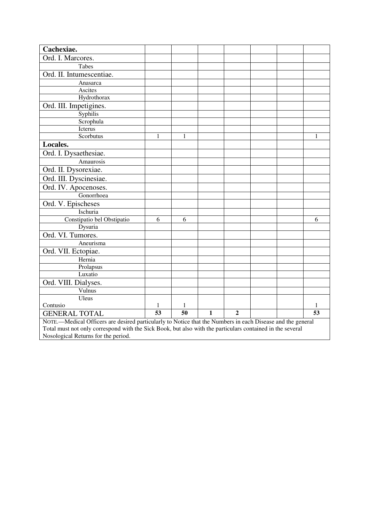| Cachexiae.                                                                                                                                                                              |    |                 |              |                |  |  |    |
|-----------------------------------------------------------------------------------------------------------------------------------------------------------------------------------------|----|-----------------|--------------|----------------|--|--|----|
| Ord. I. Marcores.                                                                                                                                                                       |    |                 |              |                |  |  |    |
| Tabes                                                                                                                                                                                   |    |                 |              |                |  |  |    |
| Ord. II. Intumescentiae.                                                                                                                                                                |    |                 |              |                |  |  |    |
| Anasarca                                                                                                                                                                                |    |                 |              |                |  |  |    |
| Ascites                                                                                                                                                                                 |    |                 |              |                |  |  |    |
| Hydrothorax                                                                                                                                                                             |    |                 |              |                |  |  |    |
| Ord. III. Impetigines.                                                                                                                                                                  |    |                 |              |                |  |  |    |
| Syphilis                                                                                                                                                                                |    |                 |              |                |  |  |    |
| Scrophula                                                                                                                                                                               |    |                 |              |                |  |  |    |
| Icterus                                                                                                                                                                                 |    |                 |              |                |  |  |    |
| Scorbutus                                                                                                                                                                               | 1  | 1               |              |                |  |  | 1  |
| Locales.                                                                                                                                                                                |    |                 |              |                |  |  |    |
| Ord. I. Dysaethesiae.                                                                                                                                                                   |    |                 |              |                |  |  |    |
| Amaurosis                                                                                                                                                                               |    |                 |              |                |  |  |    |
| Ord. II. Dysorexiae.                                                                                                                                                                    |    |                 |              |                |  |  |    |
| Ord. III. Dyscinesiae.                                                                                                                                                                  |    |                 |              |                |  |  |    |
| Ord. IV. Apocenoses.                                                                                                                                                                    |    |                 |              |                |  |  |    |
| Gonorrhoea                                                                                                                                                                              |    |                 |              |                |  |  |    |
| Ord. V. Epischeses                                                                                                                                                                      |    |                 |              |                |  |  |    |
| Ischuria                                                                                                                                                                                |    |                 |              |                |  |  |    |
| Constipatio bel Obstipatio                                                                                                                                                              | 6  | 6               |              |                |  |  | 6  |
| Dysuria                                                                                                                                                                                 |    |                 |              |                |  |  |    |
| Ord. VI. Tumores.                                                                                                                                                                       |    |                 |              |                |  |  |    |
| Aneurisma                                                                                                                                                                               |    |                 |              |                |  |  |    |
| Ord. VII. Ectopiae.                                                                                                                                                                     |    |                 |              |                |  |  |    |
| Hernia                                                                                                                                                                                  |    |                 |              |                |  |  |    |
| Prolapsus                                                                                                                                                                               |    |                 |              |                |  |  |    |
| Luxatio                                                                                                                                                                                 |    |                 |              |                |  |  |    |
| Ord. VIII. Dialyses.                                                                                                                                                                    |    |                 |              |                |  |  |    |
| Vulnus                                                                                                                                                                                  |    |                 |              |                |  |  |    |
| Uleus                                                                                                                                                                                   |    |                 |              |                |  |  |    |
| Contusio<br>1<br>1                                                                                                                                                                      |    |                 |              |                |  |  | 1  |
| <b>GENERAL TOTAL</b>                                                                                                                                                                    | 53 | $\overline{50}$ | $\mathbf{1}$ | $\overline{2}$ |  |  | 53 |
| NOTE.—Medical Officers are desired particularly to Notice that the Numbers in each Disease and the general<br>$\pi$ , the set of the set of $\pi$ , the set of $\pi$ , the set of $\pi$ |    |                 |              |                |  |  |    |

Total must not only correspond with the Sick Book, but also with the particulars contained in the several Nosological Returns for the period.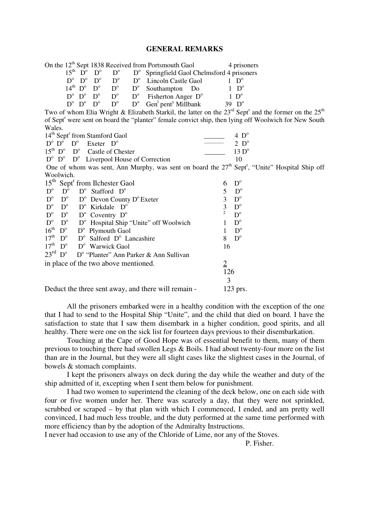## **GENERAL REMARKS**

|                                                                   |                                                |                                                      |             | On the 12 <sup>th</sup> Sept 1838 Received from Portsmouth Gaol |                            | 4 prisoners                                                                                                          |
|-------------------------------------------------------------------|------------------------------------------------|------------------------------------------------------|-------------|-----------------------------------------------------------------|----------------------------|----------------------------------------------------------------------------------------------------------------------|
|                                                                   | $15^{\text{th}}$ D <sup>o</sup> D <sup>o</sup> | $D^{\circ}$                                          |             | $D^{\circ}$ Springfield Gaol Chelmsford 4 prisoners             |                            |                                                                                                                      |
|                                                                   | $D^o$ $D^o$ $D^o$                              | $D^{\circ}$                                          |             | $D^{\circ}$ Lincoln Castle Gaol                                 |                            | $1\;\;D^{\circ}$                                                                                                     |
|                                                                   |                                                | $14^{\text{th}}$ $D^{\circ}$ $D^{\circ}$ $D^{\circ}$ | $D^{\circ}$ | Southampton Do                                                  |                            | $D^{\circ}$                                                                                                          |
|                                                                   | $D^o\ \ D^o\ \ D^o$                            | $D^{\rm o}$                                          |             | $D^{\circ}$ Fisherton Anger $D^{\circ}$                         |                            | $1\;\mathrm{D}^{\mathrm{o}}$                                                                                         |
|                                                                   | $D^o$ $D^o$ $D^o$                              | $D^{\circ}$                                          | $D^{\circ}$ | $Gen1$ pent <sup>y</sup> Millbank                               |                            | 39 $D^{\circ}$                                                                                                       |
|                                                                   |                                                |                                                      |             |                                                                 |                            | Two of whom Elia Wright & Elizabeth Starkil, the latter on the $23rd$ Sept <sup>r</sup> and the former on the $25th$ |
|                                                                   |                                                |                                                      |             |                                                                 |                            | of Sept <sup>r</sup> were sent on board the "planter" female convict ship, then lying off Woolwich for New South     |
| Wales.                                                            |                                                |                                                      |             |                                                                 |                            |                                                                                                                      |
| 14 <sup>th</sup> Sept <sup>r</sup> from Stamford Gaol             |                                                |                                                      |             |                                                                 |                            | $4\;\mathrm{D}^{\mathrm{o}}$                                                                                         |
| $D^{\circ}$ $D^{\circ}$ $D^{\circ}$ Exeter $D^{\circ}$            |                                                |                                                      |             |                                                                 |                            | $2\;\mathrm{D}^{\mathrm{o}}$                                                                                         |
| $15th$ D <sup>o</sup> Castle of Chester                           |                                                |                                                      |             |                                                                 |                            | 13 D <sup>o</sup>                                                                                                    |
| $D^{\circ}$ $D^{\circ}$ $D^{\circ}$ Liverpool House of Correction |                                                |                                                      |             |                                                                 |                            | 10                                                                                                                   |
|                                                                   |                                                |                                                      |             |                                                                 |                            | One of whom was sent, Ann Murphy, was sent on board the $27th$ Sept <sup>r</sup> , "Unite" Hospital Ship off         |
| Woolwich.                                                         |                                                |                                                      |             |                                                                 |                            |                                                                                                                      |
| 15 <sup>th</sup> Sept <sup>r</sup> from Ilchester Gaol            |                                                |                                                      |             |                                                                 | 6                          | $D^{\circ}$                                                                                                          |
| $D^{\circ}$<br>$D^{\circ}$                                        |                                                | $D^{\circ}$ Stafford $D^{\circ}$                     |             |                                                                 | 5                          | $D^{\circ}$                                                                                                          |
| $D^{\circ}$<br>$D^{\circ}$                                        |                                                | $D^{\circ}$ Devon County $D^{\circ}$ Exeter          |             |                                                                 | 3                          | $D^{\circ}$                                                                                                          |
| $D^{\circ}$<br>$D^{\circ}$                                        |                                                | $D^{\circ}$ Kirkdale $D^{\circ}$                     |             |                                                                 | 3                          | $D^{\mathrm{o}}$                                                                                                     |
| $D^{\circ}$<br>$D^{\circ}$                                        |                                                | $D^{\circ}$ Coventry $D^{\circ}$                     |             |                                                                 | $\overline{2}$             | $D^{\circ}$                                                                                                          |
| $D^{\circ}$<br>$D^{\circ}$                                        |                                                |                                                      |             | D <sup>o</sup> Hospital Ship "Unite" off Woolwich               | 1                          | $D^{\circ}$                                                                                                          |
| $16^{\text{th}}$<br>$D^{\circ}$                                   |                                                | $D^{\circ}$ Plymouth Gaol                            |             |                                                                 | 1                          | $D^{\circ}$                                                                                                          |
| 17 <sup>th</sup><br>$D^{\circ}$                                   |                                                | $D^{\circ}$ Salford $D^{\circ}$ Lancashire           |             |                                                                 | 8                          | $D^{\circ}$                                                                                                          |
| 17 <sup>th</sup><br>$D^{\circ}$                                   |                                                | D <sup>o</sup> Warwick Gaol                          |             |                                                                 | 16                         |                                                                                                                      |
| $23^{\text{rd}}$ D <sup>o</sup>                                   |                                                |                                                      |             | D <sup>o</sup> "Planter" Ann Parker & Ann Sullivan              |                            |                                                                                                                      |
|                                                                   |                                                |                                                      |             |                                                                 |                            |                                                                                                                      |
|                                                                   |                                                |                                                      |             |                                                                 |                            |                                                                                                                      |
|                                                                   |                                                |                                                      |             |                                                                 |                            |                                                                                                                      |
| in place of the two above mentioned.                              |                                                |                                                      |             |                                                                 | $\overline{2}$<br>126<br>3 |                                                                                                                      |

Deduct the three sent away, and there will remain - 123 prs.

All the prisoners embarked were in a healthy condition with the exception of the one that I had to send to the Hospital Ship "Unite", and the child that died on board. I have the satisfaction to state that I saw them disembark in a higher condition, good spirits, and all healthy. There were one on the sick list for fourteen days previous to their disembarkation.

 Touching at the Cape of Good Hope was of essential benefit to them, many of them previous to touching there had swollen Legs & Boils. I had about twenty-four more on the list than are in the Journal, but they were all slight cases like the slightest cases in the Journal, of bowels & stomach complaints.

 I kept the prisoners always on deck during the day while the weather and duty of the ship admitted of it, excepting when I sent them below for punishment.

 I had two women to superintend the cleaning of the deck below, one on each side with four or five women under her. There was scarcely a day, that they were not sprinkled, scrubbed or scraped – by that plan with which I commenced, I ended, and am pretty well convinced, I had much less trouble, and the duty performed at the same time performed with more efficiency than by the adoption of the Admiralty Instructions.

I never had occasion to use any of the Chloride of Lime, nor any of the Stoves.

P. Fisher.